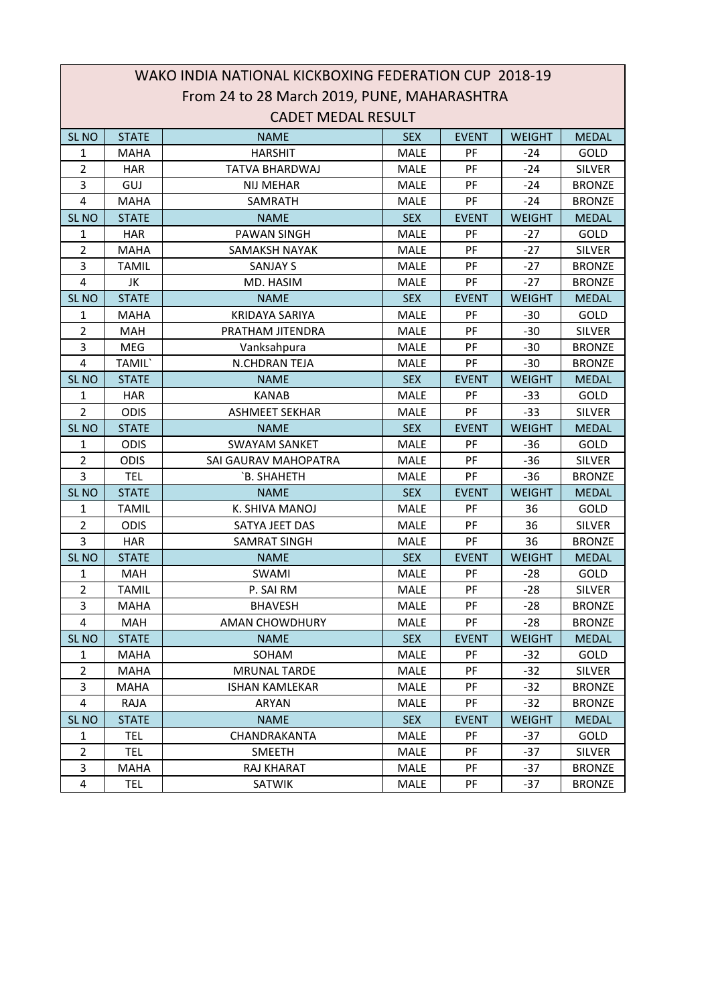|                         | WAKO INDIA NATIONAL KICKBOXING FEDERATION CUP 2018-19 |                                             |             |              |               |               |  |  |
|-------------------------|-------------------------------------------------------|---------------------------------------------|-------------|--------------|---------------|---------------|--|--|
|                         |                                                       | From 24 to 28 March 2019, PUNE, MAHARASHTRA |             |              |               |               |  |  |
|                         | <b>CADET MEDAL RESULT</b>                             |                                             |             |              |               |               |  |  |
| SL <sub>NO</sub>        | <b>STATE</b>                                          | <b>NAME</b>                                 | <b>SEX</b>  | <b>EVENT</b> | <b>WEIGHT</b> | <b>MEDAL</b>  |  |  |
| $\mathbf{1}$            | <b>MAHA</b>                                           | <b>HARSHIT</b>                              | <b>MALE</b> | PF           | $-24$         | GOLD          |  |  |
| $\overline{2}$          | <b>HAR</b>                                            | <b>TATVA BHARDWAJ</b>                       | MALE        | PF           | $-24$         | <b>SILVER</b> |  |  |
| 3                       | GUJ                                                   | <b>NIJ MEHAR</b>                            | <b>MALE</b> | PF           | $-24$         | <b>BRONZE</b> |  |  |
| 4                       | <b>MAHA</b>                                           | SAMRATH                                     | <b>MALE</b> | PF           | $-24$         | <b>BRONZE</b> |  |  |
| SL <sub>NO</sub>        | <b>STATE</b>                                          | <b>NAME</b>                                 | <b>SEX</b>  | <b>EVENT</b> | <b>WEIGHT</b> | <b>MEDAL</b>  |  |  |
| 1                       | <b>HAR</b>                                            | <b>PAWAN SINGH</b>                          | <b>MALE</b> | PF           | $-27$         | GOLD          |  |  |
| $\overline{2}$          | <b>MAHA</b>                                           | SAMAKSH NAYAK                               | <b>MALE</b> | PF           | $-27$         | <b>SILVER</b> |  |  |
| 3                       | <b>TAMIL</b>                                          | <b>SANJAY S</b>                             | <b>MALE</b> | PF           | $-27$         | <b>BRONZE</b> |  |  |
| $\overline{\mathbf{4}}$ | JK                                                    | MD. HASIM                                   | MALE        | PF           | $-27$         | <b>BRONZE</b> |  |  |
| SL <sub>NO</sub>        | <b>STATE</b>                                          | <b>NAME</b>                                 | <b>SEX</b>  | <b>EVENT</b> | <b>WEIGHT</b> | <b>MEDAL</b>  |  |  |
| $\mathbf{1}$            | <b>MAHA</b>                                           | <b>KRIDAYA SARIYA</b>                       | MALE        | PF           | $-30$         | GOLD          |  |  |
| $\overline{2}$          | <b>MAH</b>                                            | PRATHAM JITENDRA                            | <b>MALE</b> | PF           | $-30$         | <b>SILVER</b> |  |  |
| 3                       | MEG                                                   | Vanksahpura                                 | <b>MALE</b> | PF           | $-30$         | <b>BRONZE</b> |  |  |
| 4                       | TAMIL`                                                | N.CHDRAN TEJA                               | <b>MALE</b> | PF           | $-30$         | <b>BRONZE</b> |  |  |
| SL <sub>NO</sub>        | <b>STATE</b>                                          | <b>NAME</b>                                 | <b>SEX</b>  | <b>EVENT</b> | <b>WEIGHT</b> | <b>MEDAL</b>  |  |  |
| 1                       | <b>HAR</b>                                            | <b>KANAB</b>                                | <b>MALE</b> | PF           | $-33$         | GOLD          |  |  |
| $\overline{2}$          | <b>ODIS</b>                                           | <b>ASHMEET SEKHAR</b>                       | <b>MALE</b> | PF           | $-33$         | <b>SILVER</b> |  |  |
| SL <sub>NO</sub>        | <b>STATE</b>                                          | <b>NAME</b>                                 | <b>SEX</b>  | <b>EVENT</b> | <b>WEIGHT</b> | <b>MEDAL</b>  |  |  |
| 1                       | <b>ODIS</b>                                           | <b>SWAYAM SANKET</b>                        | MALE        | PF           | -36           | GOLD          |  |  |
| $\overline{2}$          | <b>ODIS</b>                                           | <b>SAI GAURAV MAHOPATRA</b>                 | <b>MALE</b> | PF           | $-36$         | <b>SILVER</b> |  |  |
| 3                       | <b>TEL</b>                                            | `B. SHAHETH                                 | MALE        | PF           | $-36$         | <b>BRONZE</b> |  |  |
| SL <sub>NO</sub>        | <b>STATE</b>                                          | <b>NAME</b>                                 | <b>SEX</b>  | <b>EVENT</b> | <b>WEIGHT</b> | <b>MEDAL</b>  |  |  |
| 1                       | <b>TAMIL</b>                                          | K. SHIVA MANOJ                              | MALE        | PF           | 36            | GOLD          |  |  |
| $\overline{2}$          | <b>ODIS</b>                                           | SATYA JEET DAS                              | <b>MALE</b> | PF           | 36            | <b>SILVER</b> |  |  |
| 3                       | <b>HAR</b>                                            | <b>SAMRAT SINGH</b>                         | MALE        | PF           | 36            | <b>BRONZE</b> |  |  |
| SL <sub>NO</sub>        | <b>STATE</b>                                          | <b>NAME</b>                                 | <b>SEX</b>  | <b>EVENT</b> | <b>WEIGHT</b> | <b>MEDAL</b>  |  |  |
| 1                       | MAH                                                   | SWAMI                                       | <b>MALE</b> | PF           | $-28$         | GOLD          |  |  |
| $\overline{2}$          | <b>TAMIL</b>                                          | P. SAI RM                                   | <b>MALE</b> | PF           | $-28$         | <b>SILVER</b> |  |  |
| 3                       | <b>MAHA</b>                                           | <b>BHAVESH</b>                              | MALE        | PF           | -28           | <b>BRONZE</b> |  |  |
| 4                       | <b>MAH</b>                                            | <b>AMAN CHOWDHURY</b>                       | <b>MALE</b> | PF           | $-28$         | <b>BRONZE</b> |  |  |
| SL <sub>NO</sub>        | <b>STATE</b>                                          | <b>NAME</b>                                 | <b>SEX</b>  | <b>EVENT</b> | <b>WEIGHT</b> | <b>MEDAL</b>  |  |  |
| $\mathbf{1}$            | <b>MAHA</b>                                           | SOHAM                                       | <b>MALE</b> | PF           | $-32$         | GOLD          |  |  |
| $\overline{2}$          | <b>MAHA</b>                                           | <b>MRUNAL TARDE</b>                         | MALE        | PF           | $-32$         | <b>SILVER</b> |  |  |
| 3                       | MAHA                                                  | <b>ISHAN KAMLEKAR</b>                       | <b>MALE</b> | <b>PF</b>    | $-32$         | <b>BRONZE</b> |  |  |
| 4                       | RAJA                                                  | ARYAN                                       | <b>MALE</b> | PF           | $-32$         | <b>BRONZE</b> |  |  |
| SL <sub>NO</sub>        | <b>STATE</b>                                          | <b>NAME</b>                                 | <b>SEX</b>  | <b>EVENT</b> | <b>WEIGHT</b> | <b>MEDAL</b>  |  |  |
| 1                       | <b>TEL</b>                                            | CHANDRAKANTA                                | MALE        | PF           | $-37$         | GOLD          |  |  |
| $\overline{2}$          | <b>TEL</b>                                            | <b>SMEETH</b>                               | MALE        | PF           | $-37$         | <b>SILVER</b> |  |  |
| 3                       | <b>MAHA</b>                                           | RAJ KHARAT                                  | <b>MALE</b> | PF           | $-37$         | <b>BRONZE</b> |  |  |
| $\overline{4}$          | <b>TEL</b>                                            | <b>SATWIK</b>                               | MALE        | PF           | $-37$         | <b>BRONZE</b> |  |  |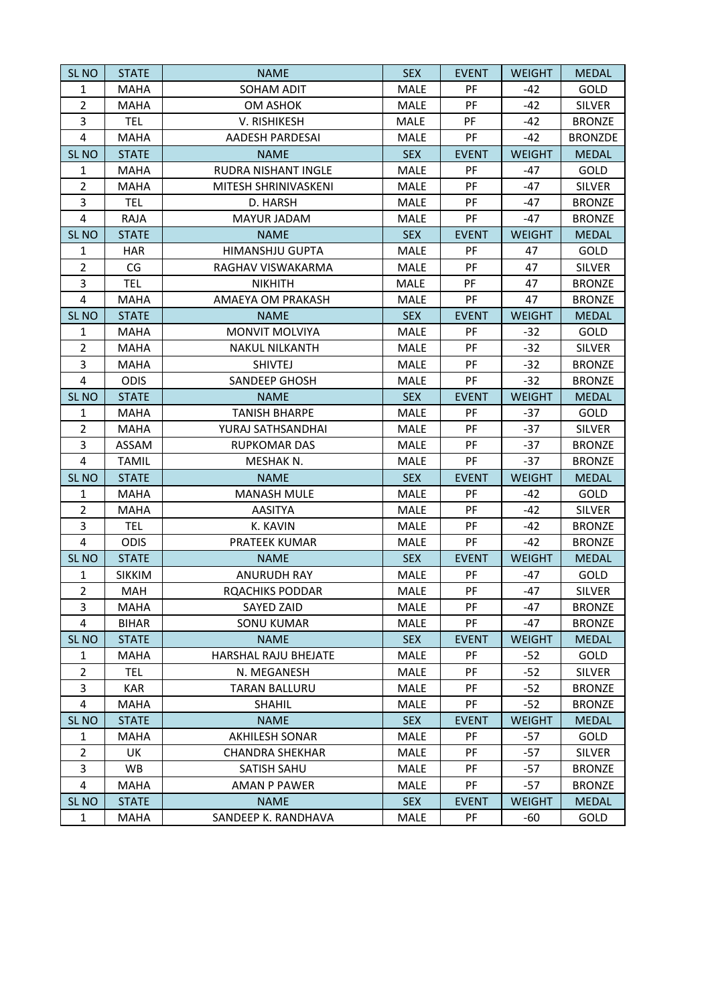| SL <sub>NO</sub>        | <b>STATE</b>  | <b>NAME</b>            | <b>SEX</b>  | <b>EVENT</b> | <b>WEIGHT</b> | <b>MEDAL</b>   |
|-------------------------|---------------|------------------------|-------------|--------------|---------------|----------------|
| $\mathbf{1}$            | <b>MAHA</b>   | SOHAM ADIT             | MALE        | PF           | $-42$         | GOLD           |
| $\overline{2}$          | <b>MAHA</b>   | <b>OM ASHOK</b>        | MALE        | PF           | $-42$         | <b>SILVER</b>  |
| 3                       | <b>TEL</b>    | V. RISHIKESH           | MALE        | PF           | $-42$         | <b>BRONZE</b>  |
| $\overline{4}$          | <b>MAHA</b>   | AADESH PARDESAI        | MALE        | PF           | $-42$         | <b>BRONZDE</b> |
| SL <sub>NO</sub>        | <b>STATE</b>  | <b>NAME</b>            | <b>SEX</b>  | <b>EVENT</b> | <b>WEIGHT</b> | <b>MEDAL</b>   |
| $\mathbf{1}$            | <b>MAHA</b>   | RUDRA NISHANT INGLE    | MALE        | PF           | $-47$         | GOLD           |
| $\overline{2}$          | <b>MAHA</b>   | MITESH SHRINIVASKENI   | MALE        | PF           | $-47$         | <b>SILVER</b>  |
| 3                       | <b>TEL</b>    | D. HARSH               | MALE        | PF           | $-47$         | <b>BRONZE</b>  |
| $\overline{4}$          | <b>RAJA</b>   | <b>MAYUR JADAM</b>     | MALE        | PF           | $-47$         | <b>BRONZE</b>  |
| SL <sub>NO</sub>        | <b>STATE</b>  | <b>NAME</b>            | <b>SEX</b>  | <b>EVENT</b> | <b>WEIGHT</b> | <b>MEDAL</b>   |
| $\mathbf{1}$            | <b>HAR</b>    | <b>HIMANSHJU GUPTA</b> | MALE        | PF           | 47            | GOLD           |
| $\overline{2}$          | CG            | RAGHAV VISWAKARMA      | MALE        | PF           | 47            | <b>SILVER</b>  |
| 3                       | <b>TEL</b>    | <b>NIKHITH</b>         | MALE        | PF           | 47            | <b>BRONZE</b>  |
| $\overline{\mathbf{4}}$ | <b>MAHA</b>   | AMAEYA OM PRAKASH      | MALE        | PF           | 47            | <b>BRONZE</b>  |
| SL <sub>NO</sub>        | <b>STATE</b>  | <b>NAME</b>            | <b>SEX</b>  | <b>EVENT</b> | <b>WEIGHT</b> | <b>MEDAL</b>   |
| $\mathbf{1}$            | <b>MAHA</b>   | <b>MONVIT MOLVIYA</b>  | MALE        | PF           | $-32$         | GOLD           |
| $\overline{2}$          | <b>MAHA</b>   | <b>NAKUL NILKANTH</b>  | MALE        | PF           | $-32$         | <b>SILVER</b>  |
| 3                       | <b>MAHA</b>   | <b>SHIVTEJ</b>         | MALE        | PF           | $-32$         | <b>BRONZE</b>  |
| $\overline{4}$          | <b>ODIS</b>   | <b>SANDEEP GHOSH</b>   | MALE        | PF           | $-32$         | <b>BRONZE</b>  |
| SL <sub>NO</sub>        | <b>STATE</b>  | <b>NAME</b>            | <b>SEX</b>  | <b>EVENT</b> | <b>WEIGHT</b> | <b>MEDAL</b>   |
| $\mathbf{1}$            | <b>MAHA</b>   | <b>TANISH BHARPE</b>   | MALE        | PF           | $-37$         | GOLD           |
| $\overline{2}$          | <b>MAHA</b>   | YURAJ SATHSANDHAI      | MALE        | PF           | $-37$         | <b>SILVER</b>  |
| 3                       | ASSAM         | <b>RUPKOMAR DAS</b>    | MALE        | PF           | $-37$         | <b>BRONZE</b>  |
| 4                       | <b>TAMIL</b>  | MESHAK N.              | MALE        | PF           | $-37$         | <b>BRONZE</b>  |
| SL <sub>NO</sub>        | <b>STATE</b>  | <b>NAME</b>            | <b>SEX</b>  | <b>EVENT</b> | <b>WEIGHT</b> | <b>MEDAL</b>   |
| $\mathbf{1}$            | <b>MAHA</b>   | <b>MANASH MULE</b>     | MALE        | PF           | $-42$         | GOLD           |
| $\overline{2}$          | <b>MAHA</b>   | <b>AASITYA</b>         | MALE        | PF           | $-42$         | <b>SILVER</b>  |
| 3                       | <b>TEL</b>    | K. KAVIN               | MALE        | PF           | $-42$         | <b>BRONZE</b>  |
| $\overline{4}$          | <b>ODIS</b>   | PRATEEK KUMAR          | MALE        | PF           | $-42$         | <b>BRONZE</b>  |
| SL <sub>NO</sub>        | <b>STATE</b>  | <b>NAME</b>            | <b>SEX</b>  | <b>EVENT</b> | <b>WEIGHT</b> | <b>MEDAL</b>   |
| $\mathbf{1}$            | <b>SIKKIM</b> | <b>ANURUDH RAY</b>     | MALE        | PF           | $-47$         | GOLD           |
| $\overline{2}$          | <b>MAH</b>    | <b>ROACHIKS PODDAR</b> | MALE        | PF           | $-47$         | <b>SILVER</b>  |
| 3                       | MAHA          | SAYED ZAID             | MALE        | PF           | -47           | <b>BRONZE</b>  |
| 4                       | <b>BIHAR</b>  | <b>SONU KUMAR</b>      | MALE        | PF           | $-47$         | <b>BRONZE</b>  |
| <b>SL NO</b>            | <b>STATE</b>  | <b>NAME</b>            | <b>SEX</b>  | <b>EVENT</b> | <b>WEIGHT</b> | <b>MEDAL</b>   |
| 1                       | MAHA          | HARSHAL RAJU BHEJATE   | MALE        | PF           | $-52$         | GOLD           |
| $\overline{2}$          | <b>TEL</b>    | N. MEGANESH            | <b>MALE</b> | PF           | $-52$         | <b>SILVER</b>  |
| 3                       | <b>KAR</b>    | <b>TARAN BALLURU</b>   | <b>MALE</b> | PF           | $-52$         | <b>BRONZE</b>  |
| $\overline{4}$          | MAHA          | <b>SHAHIL</b>          | MALE        | PF           | $-52$         | <b>BRONZE</b>  |
| SL <sub>NO</sub>        | <b>STATE</b>  | <b>NAME</b>            | <b>SEX</b>  | <b>EVENT</b> | <b>WEIGHT</b> | <b>MEDAL</b>   |
| 1                       | MAHA          | <b>AKHILESH SONAR</b>  | MALE        | PF           | -57           | GOLD           |
| $\overline{2}$          | UK            | <b>CHANDRA SHEKHAR</b> | MALE        | PF           | $-57$         | <b>SILVER</b>  |
| 3                       | WB.           | SATISH SAHU            | MALE        | PF           | $-57$         | <b>BRONZE</b>  |
| $\overline{4}$          | MAHA          | AMAN P PAWER           | MALE        | PF           | $-57$         | <b>BRONZE</b>  |
| SL <sub>NO</sub>        | <b>STATE</b>  | <b>NAME</b>            | <b>SEX</b>  | <b>EVENT</b> | <b>WEIGHT</b> | <b>MEDAL</b>   |
| $\mathbf{1}$            | <b>MAHA</b>   | SANDEEP K. RANDHAVA    | MALE        | PF           | -60           | GOLD           |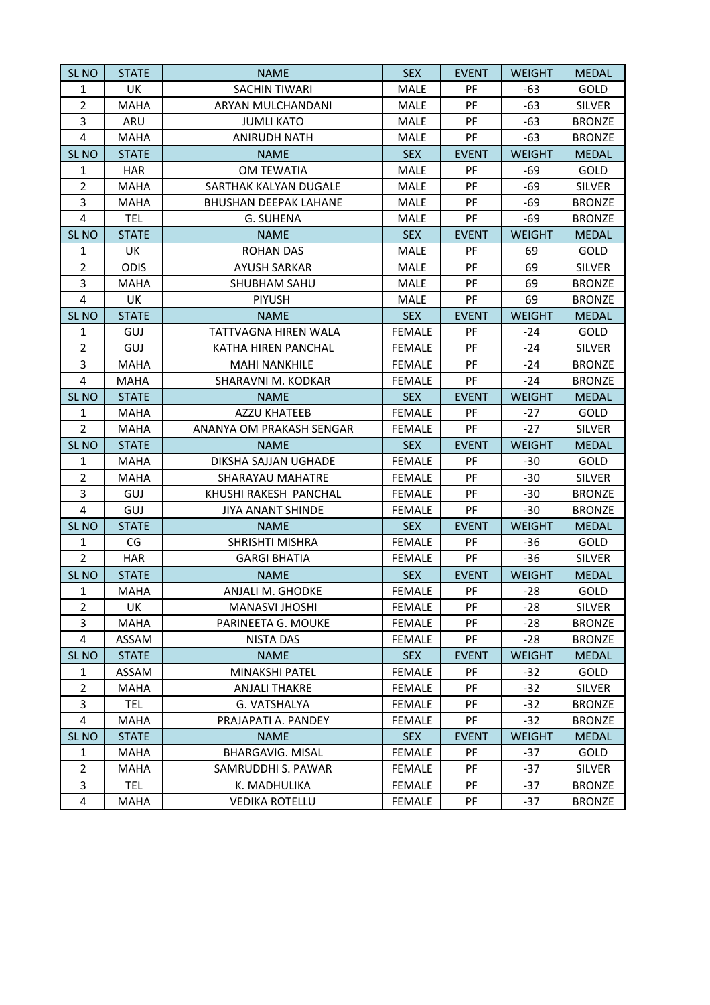| SL <sub>NO</sub>        | <b>STATE</b> | <b>NAME</b>                  | <b>SEX</b>    | <b>EVENT</b> | <b>WEIGHT</b> | <b>MEDAL</b>  |
|-------------------------|--------------|------------------------------|---------------|--------------|---------------|---------------|
| $\mathbf{1}$            | <b>UK</b>    | <b>SACHIN TIWARI</b>         | MALE          | PF           | -63           | GOLD          |
| $\overline{2}$          | <b>MAHA</b>  | ARYAN MULCHANDANI            | MALE          | PF           | $-63$         | <b>SILVER</b> |
| 3                       | ARU          | <b>JUMLI KATO</b>            | MALE          | PF           | $-63$         | <b>BRONZE</b> |
| $\overline{4}$          | <b>MAHA</b>  | <b>ANIRUDH NATH</b>          | <b>MALE</b>   | PF           | $-63$         | <b>BRONZE</b> |
| SL <sub>NO</sub>        | <b>STATE</b> | <b>NAME</b>                  | <b>SEX</b>    | <b>EVENT</b> | <b>WEIGHT</b> | <b>MEDAL</b>  |
| $\mathbf{1}$            | <b>HAR</b>   | OM TEWATIA                   | <b>MALE</b>   | PF           | -69           | GOLD          |
| $\overline{2}$          | <b>MAHA</b>  | SARTHAK KALYAN DUGALE        | <b>MALE</b>   | PF           | $-69$         | <b>SILVER</b> |
| 3                       | <b>MAHA</b>  | <b>BHUSHAN DEEPAK LAHANE</b> | MALE          | PF           | $-69$         | <b>BRONZE</b> |
| 4                       | <b>TEL</b>   | G. SUHENA                    | MALE          | PF           | -69           | <b>BRONZE</b> |
| SL <sub>NO</sub>        | <b>STATE</b> | <b>NAME</b>                  | <b>SEX</b>    | <b>EVENT</b> | <b>WEIGHT</b> | <b>MEDAL</b>  |
| 1                       | UK           | <b>ROHAN DAS</b>             | <b>MALE</b>   | PF           | 69            | GOLD          |
| $\overline{2}$          | <b>ODIS</b>  | <b>AYUSH SARKAR</b>          | MALE          | PF           | 69            | <b>SILVER</b> |
| 3                       | MAHA         | <b>SHUBHAM SAHU</b>          | MALE          | PF           | 69            | <b>BRONZE</b> |
| $\overline{\mathbf{4}}$ | UK           | <b>PIYUSH</b>                | <b>MALE</b>   | PF           | 69            | <b>BRONZE</b> |
| SL <sub>NO</sub>        | <b>STATE</b> | <b>NAME</b>                  | <b>SEX</b>    | <b>EVENT</b> | <b>WEIGHT</b> | <b>MEDAL</b>  |
| $\mathbf{1}$            | GUJ          | TATTVAGNA HIREN WALA         | <b>FEMALE</b> | PF           | -24           | GOLD          |
| $\overline{2}$          | GUJ          | KATHA HIREN PANCHAL          | <b>FEMALE</b> | PF           | $-24$         | <b>SILVER</b> |
| 3                       | MAHA         | <b>MAHI NANKHILE</b>         | <b>FEMALE</b> | PF           | $-24$         | <b>BRONZE</b> |
| $\overline{4}$          | <b>MAHA</b>  | SHARAVNI M. KODKAR           | <b>FEMALE</b> | PF           | $-24$         | <b>BRONZE</b> |
| SL <sub>NO</sub>        | <b>STATE</b> | <b>NAME</b>                  | <b>SEX</b>    | <b>EVENT</b> | <b>WEIGHT</b> | <b>MEDAL</b>  |
| $\mathbf{1}$            | <b>MAHA</b>  | <b>AZZU KHATEEB</b>          | <b>FEMALE</b> | PF           | $-27$         | GOLD          |
| $\overline{2}$          | <b>MAHA</b>  | ANANYA OM PRAKASH SENGAR     | <b>FEMALE</b> | PF           | $-27$         | <b>SILVER</b> |
| SL <sub>NO</sub>        | <b>STATE</b> | <b>NAME</b>                  | <b>SEX</b>    | <b>EVENT</b> | <b>WEIGHT</b> | <b>MEDAL</b>  |
| $\mathbf{1}$            | <b>MAHA</b>  | DIKSHA SAJJAN UGHADE         | <b>FEMALE</b> | PF           | $-30$         | GOLD          |
| $\overline{2}$          | <b>MAHA</b>  | SHARAYAU MAHATRE             | <b>FEMALE</b> | PF           | $-30$         | <b>SILVER</b> |
| 3                       | GUJ          | KHUSHI RAKESH PANCHAL        | <b>FEMALE</b> | PF           | $-30$         | <b>BRONZE</b> |
| $\overline{4}$          | GUJ          | <b>JIYA ANANT SHINDE</b>     | <b>FEMALE</b> | PF           | $-30$         | <b>BRONZE</b> |
| SL <sub>NO</sub>        | <b>STATE</b> | <b>NAME</b>                  | <b>SEX</b>    | <b>EVENT</b> | <b>WEIGHT</b> | <b>MEDAL</b>  |
| $\mathbf{1}$            | CG           | SHRISHTI MISHRA              | <b>FEMALE</b> | PF           | $-36$         | GOLD          |
| $\overline{2}$          | <b>HAR</b>   | <b>GARGI BHATIA</b>          | <b>FEMALE</b> | PF           | $-36$         | <b>SILVER</b> |
| SL <sub>NO</sub>        | <b>STATE</b> | <b>NAME</b>                  | <b>SEX</b>    | <b>EVENT</b> | <b>WEIGHT</b> | <b>MEDAL</b>  |
| $\mathbf{1}$            | <b>MAHA</b>  | <b>ANJALI M. GHODKE</b>      | <b>FEMALE</b> | PF           | $-28$         | GOLD          |
| $\overline{2}$          | UK           | MANASVI JHOSHI               | <b>FEMALE</b> | PF           | -28           | <b>SILVER</b> |
| 3                       | <b>MAHA</b>  | PARINEETA G. MOUKE           | <b>FEMALE</b> | PF           | $-28$         | <b>BRONZE</b> |
| 4                       | ASSAM        | <b>NISTA DAS</b>             | <b>FEMALE</b> | PF           | $-28$         | <b>BRONZE</b> |
| SL <sub>NO</sub>        | <b>STATE</b> | <b>NAME</b>                  | <b>SEX</b>    | <b>EVENT</b> | <b>WEIGHT</b> | <b>MEDAL</b>  |
| 1                       | ASSAM        | <b>MINAKSHI PATEL</b>        | <b>FEMALE</b> | PF           | -32           | GOLD          |
| $\overline{2}$          | MAHA         | <b>ANJALI THAKRE</b>         | <b>FEMALE</b> | PF           | $-32$         | <b>SILVER</b> |
| 3                       | <b>TEL</b>   | G. VATSHALYA                 | <b>FEMALE</b> | PF           | -32           | <b>BRONZE</b> |
| $\overline{4}$          | MAHA         | PRAJAPATI A. PANDEY          | <b>FEMALE</b> | PF           | $-32$         | <b>BRONZE</b> |
| SL <sub>NO</sub>        | <b>STATE</b> | <b>NAME</b>                  | <b>SEX</b>    | <b>EVENT</b> | <b>WEIGHT</b> | <b>MEDAL</b>  |
| 1                       | MAHA         | <b>BHARGAVIG. MISAL</b>      | <b>FEMALE</b> | PF           | $-37$         | GOLD          |
| $\overline{2}$          | MAHA         | SAMRUDDHI S. PAWAR           | <b>FEMALE</b> | PF           | $-37$         | <b>SILVER</b> |
| 3                       | <b>TEL</b>   | K. MADHULIKA                 | <b>FEMALE</b> | PF           | $-37$         | <b>BRONZE</b> |
| 4                       | MAHA         | <b>VEDIKA ROTELLU</b>        | <b>FEMALE</b> | PF           | -37           | <b>BRONZE</b> |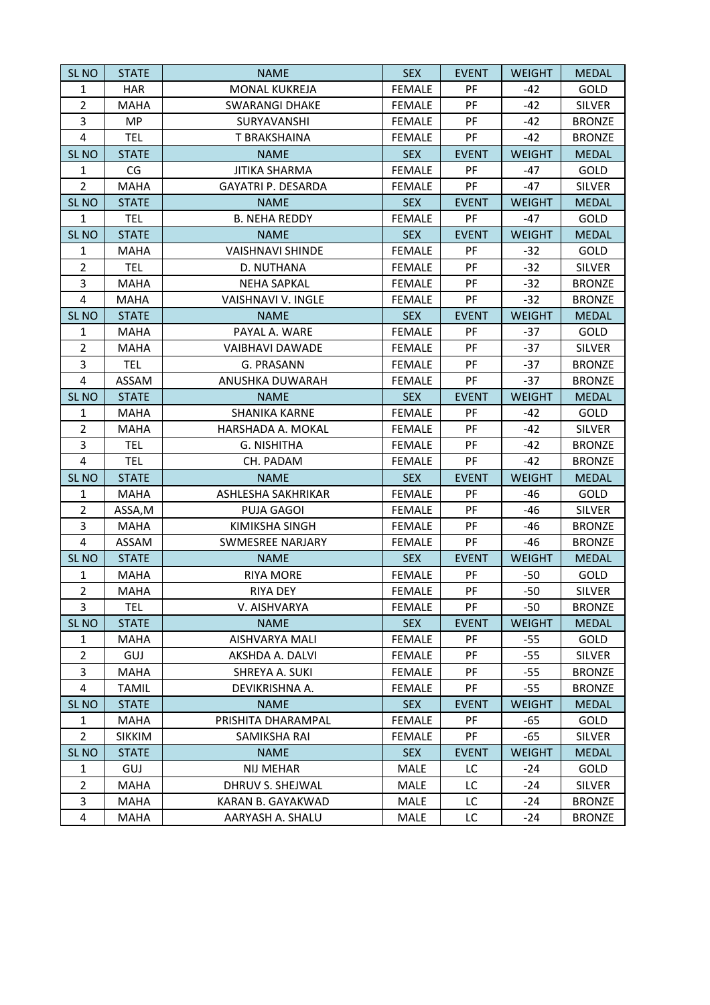| SL <sub>NO</sub> | <b>STATE</b>  | <b>NAME</b>               | <b>SEX</b>    | <b>EVENT</b> | <b>WEIGHT</b> | <b>MEDAL</b>  |
|------------------|---------------|---------------------------|---------------|--------------|---------------|---------------|
| $\mathbf{1}$     | <b>HAR</b>    | <b>MONAL KUKREJA</b>      | <b>FEMALE</b> | PF           | $-42$         | GOLD          |
| $\overline{2}$   | <b>MAHA</b>   | <b>SWARANGI DHAKE</b>     | <b>FEMALE</b> | PF           | $-42$         | <b>SILVER</b> |
| 3                | MP            | SURYAVANSHI               | <b>FEMALE</b> | PF           | $-42$         | <b>BRONZE</b> |
| $\overline{4}$   | <b>TEL</b>    | T BRAKSHAINA              | <b>FEMALE</b> | PF           | $-42$         | <b>BRONZE</b> |
| SL <sub>NO</sub> | <b>STATE</b>  | <b>NAME</b>               | <b>SEX</b>    | <b>EVENT</b> | <b>WEIGHT</b> | <b>MEDAL</b>  |
| $\mathbf{1}$     | CG            | <b>JITIKA SHARMA</b>      | <b>FEMALE</b> | PF           | $-47$         | GOLD          |
| $\overline{2}$   | <b>MAHA</b>   | <b>GAYATRI P. DESARDA</b> | <b>FEMALE</b> | PF           | $-47$         | <b>SILVER</b> |
| SL <sub>NO</sub> | <b>STATE</b>  | <b>NAME</b>               | <b>SEX</b>    | <b>EVENT</b> | <b>WEIGHT</b> | <b>MEDAL</b>  |
| $\mathbf{1}$     | <b>TEL</b>    | <b>B. NEHA REDDY</b>      | <b>FEMALE</b> | PF           | $-47$         | GOLD          |
| SL <sub>NO</sub> | <b>STATE</b>  | <b>NAME</b>               | <b>SEX</b>    | <b>EVENT</b> | <b>WEIGHT</b> | <b>MEDAL</b>  |
| $\mathbf{1}$     | <b>MAHA</b>   | <b>VAISHNAVI SHINDE</b>   | <b>FEMALE</b> | PF           | $-32$         | GOLD          |
| $\overline{2}$   | <b>TEL</b>    | D. NUTHANA                | <b>FEMALE</b> | PF           | $-32$         | <b>SILVER</b> |
| 3                | <b>MAHA</b>   | <b>NEHA SAPKAL</b>        | <b>FEMALE</b> | PF           | $-32$         | <b>BRONZE</b> |
| 4                | MAHA          | VAISHNAVI V. INGLE        | <b>FEMALE</b> | PF           | $-32$         | <b>BRONZE</b> |
| SL <sub>NO</sub> | <b>STATE</b>  | <b>NAME</b>               | <b>SEX</b>    | <b>EVENT</b> | <b>WEIGHT</b> | <b>MEDAL</b>  |
| $\mathbf{1}$     | <b>MAHA</b>   | PAYAL A. WARE             | <b>FEMALE</b> | PF           | $-37$         | GOLD          |
| $\overline{2}$   | <b>MAHA</b>   | <b>VAIBHAVI DAWADE</b>    | <b>FEMALE</b> | PF           | $-37$         | <b>SILVER</b> |
| 3                | <b>TEL</b>    | G. PRASANN                | <b>FEMALE</b> | PF           | $-37$         | <b>BRONZE</b> |
| $\overline{4}$   | ASSAM         | ANUSHKA DUWARAH           | <b>FEMALE</b> | PF           | $-37$         | <b>BRONZE</b> |
| SL <sub>NO</sub> | <b>STATE</b>  | <b>NAME</b>               | <b>SEX</b>    | <b>EVENT</b> | <b>WEIGHT</b> | <b>MEDAL</b>  |
| $\mathbf{1}$     | <b>MAHA</b>   | <b>SHANIKA KARNE</b>      | <b>FEMALE</b> | PF           | $-42$         | GOLD          |
| $\overline{2}$   | <b>MAHA</b>   | HARSHADA A. MOKAL         | <b>FEMALE</b> | PF           | $-42$         | <b>SILVER</b> |
| 3                | <b>TEL</b>    | G. NISHITHA               | <b>FEMALE</b> | PF           | $-42$         | <b>BRONZE</b> |
| $\overline{4}$   | <b>TEL</b>    | CH. PADAM                 | <b>FEMALE</b> | PF           | $-42$         | <b>BRONZE</b> |
| SL <sub>NO</sub> | <b>STATE</b>  | <b>NAME</b>               | <b>SEX</b>    | <b>EVENT</b> | <b>WEIGHT</b> | <b>MEDAL</b>  |
| 1                | <b>MAHA</b>   | ASHLESHA SAKHRIKAR        | <b>FEMALE</b> | PF           | -46           | GOLD          |
| $\overline{2}$   | ASSA,M        | <b>PUJA GAGOI</b>         | <b>FEMALE</b> | PF           | -46           | <b>SILVER</b> |
| 3                | <b>MAHA</b>   | KIMIKSHA SINGH            | <b>FEMALE</b> | PF           | -46           | <b>BRONZE</b> |
| $\overline{4}$   | ASSAM         | <b>SWMESREE NARJARY</b>   | <b>FEMALE</b> | PF           | $-46$         | <b>BRONZE</b> |
| SL <sub>NO</sub> | <b>STATE</b>  | <b>NAME</b>               | <b>SEX</b>    | <b>EVENT</b> | <b>WEIGHT</b> | <b>MEDAL</b>  |
| $\mathbf{1}$     | <b>MAHA</b>   | <b>RIYA MORE</b>          | <b>FEMALE</b> | PF           | $-50$         | GOLD          |
| $\overline{2}$   | <b>MAHA</b>   | <b>RIYA DEY</b>           | <b>FEMALE</b> | PF           | $-50$         | <b>SILVER</b> |
| 3                | <b>TEL</b>    | V. AISHVARYA              | <b>FEMALE</b> | PF           | $-50$         | <b>BRONZE</b> |
| SL <sub>NO</sub> | <b>STATE</b>  | <b>NAME</b>               | <b>SEX</b>    | <b>EVENT</b> | <b>WEIGHT</b> | <b>MEDAL</b>  |
| $\mathbf{1}$     | MAHA          | AISHVARYA MALI            | <b>FEMALE</b> | PF           | $-55$         | GOLD          |
| $\overline{2}$   | GUJ           | AKSHDA A. DALVI           | <b>FEMALE</b> | PF           | $-55$         | <b>SILVER</b> |
| 3                | MAHA          | SHREYA A. SUKI            | <b>FEMALE</b> | PF           | -55           | <b>BRONZE</b> |
| 4                | <b>TAMIL</b>  | DEVIKRISHNA A.            | <b>FEMALE</b> | PF           | $-55$         | <b>BRONZE</b> |
| SL <sub>NO</sub> | <b>STATE</b>  | <b>NAME</b>               | <b>SEX</b>    | <b>EVENT</b> | <b>WEIGHT</b> | <b>MEDAL</b>  |
| $\mathbf{1}$     | MAHA          | PRISHITA DHARAMPAL        | <b>FEMALE</b> | PF           | -65           | <b>GOLD</b>   |
| $\overline{2}$   | <b>SIKKIM</b> | SAMIKSHA RAI              | <b>FEMALE</b> | <b>PF</b>    | -65           | <b>SILVER</b> |
| SL <sub>NO</sub> | <b>STATE</b>  | <b>NAME</b>               | <b>SEX</b>    | <b>EVENT</b> | <b>WEIGHT</b> | <b>MEDAL</b>  |
| $\mathbf{1}$     | <b>GUJ</b>    | NIJ MEHAR                 | MALE          | LC           | -24           | <b>GOLD</b>   |
| $\overline{2}$   | <b>MAHA</b>   | DHRUV S. SHEJWAL          | MALE          | LC           | $-24$         | <b>SILVER</b> |
| 3                | MAHA          | KARAN B. GAYAKWAD         | MALE          | LC.          | -24           | <b>BRONZE</b> |
| $\overline{4}$   | MAHA          | AARYASH A. SHALU          | MALE          | LC           | $-24$         | <b>BRONZE</b> |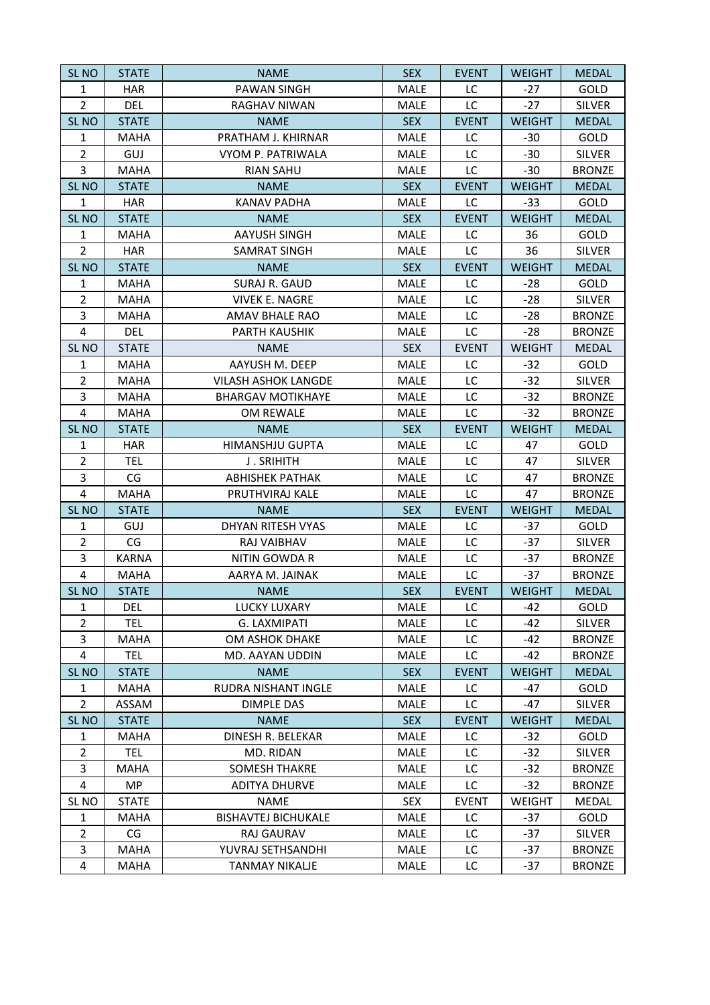| SL <sub>NO</sub>        | <b>STATE</b> | <b>NAME</b>                | <b>SEX</b>  | <b>EVENT</b> | <b>WEIGHT</b> | <b>MEDAL</b>  |
|-------------------------|--------------|----------------------------|-------------|--------------|---------------|---------------|
| $\mathbf{1}$            | <b>HAR</b>   | <b>PAWAN SINGH</b>         | MALE        | LC           | $-27$         | GOLD          |
| $\overline{2}$          | <b>DEL</b>   | <b>RAGHAV NIWAN</b>        | <b>MALE</b> | LC           | $-27$         | <b>SILVER</b> |
| SL <sub>NO</sub>        | <b>STATE</b> | <b>NAME</b>                | <b>SEX</b>  | <b>EVENT</b> | <b>WEIGHT</b> | <b>MEDAL</b>  |
| $\mathbf{1}$            | <b>MAHA</b>  | PRATHAM J. KHIRNAR         | MALE        | LC           | $-30$         | GOLD          |
| $\overline{2}$          | GUJ          | VYOM P. PATRIWALA          | <b>MALE</b> | LC           | $-30$         | <b>SILVER</b> |
| 3                       | <b>MAHA</b>  | <b>RIAN SAHU</b>           | <b>MALE</b> | LC           | $-30$         | <b>BRONZE</b> |
| SL <sub>NO</sub>        | <b>STATE</b> | <b>NAME</b>                | <b>SEX</b>  | <b>EVENT</b> | <b>WEIGHT</b> | <b>MEDAL</b>  |
| $\mathbf{1}$            | <b>HAR</b>   | <b>KANAV PADHA</b>         | MALE        | LC           | $-33$         | GOLD          |
| SL <sub>NO</sub>        | <b>STATE</b> | <b>NAME</b>                | <b>SEX</b>  | <b>EVENT</b> | <b>WEIGHT</b> | <b>MEDAL</b>  |
| $\mathbf{1}$            | <b>MAHA</b>  | <b>AAYUSH SINGH</b>        | MALE        | LC           | 36            | GOLD          |
| $\overline{2}$          | <b>HAR</b>   | <b>SAMRAT SINGH</b>        | <b>MALE</b> | LC           | 36            | <b>SILVER</b> |
| SL <sub>NO</sub>        | <b>STATE</b> | <b>NAME</b>                | <b>SEX</b>  | <b>EVENT</b> | <b>WEIGHT</b> | <b>MEDAL</b>  |
| $\mathbf{1}$            | <b>MAHA</b>  | <b>SURAJ R. GAUD</b>       | <b>MALE</b> | LC           | $-28$         | GOLD          |
| $\overline{2}$          | <b>MAHA</b>  | <b>VIVEK E. NAGRE</b>      | <b>MALE</b> | LC           | $-28$         | <b>SILVER</b> |
| 3                       | <b>MAHA</b>  | AMAV BHALE RAO             | <b>MALE</b> | LC           | $-28$         | <b>BRONZE</b> |
| 4                       | <b>DEL</b>   | PARTH KAUSHIK              | MALE        | LC           | $-28$         | <b>BRONZE</b> |
| SL <sub>NO</sub>        | <b>STATE</b> | <b>NAME</b>                | <b>SEX</b>  | <b>EVENT</b> | <b>WEIGHT</b> | <b>MEDAL</b>  |
| $\mathbf{1}$            | MAHA         | AAYUSH M. DEEP             | <b>MALE</b> | LC           | $-32$         | GOLD          |
| $\overline{2}$          | <b>MAHA</b>  | <b>VILASH ASHOK LANGDE</b> | <b>MALE</b> | LC           | $-32$         | <b>SILVER</b> |
| 3                       | <b>MAHA</b>  | <b>BHARGAV MOTIKHAYE</b>   | <b>MALE</b> | LC           | $-32$         | <b>BRONZE</b> |
| $\overline{\mathbf{4}}$ | <b>MAHA</b>  | OM REWALE                  | MALE        | LC           | $-32$         | <b>BRONZE</b> |
| SL <sub>NO</sub>        | <b>STATE</b> | <b>NAME</b>                | <b>SEX</b>  | <b>EVENT</b> | <b>WEIGHT</b> | <b>MEDAL</b>  |
| $\mathbf{1}$            | <b>HAR</b>   | <b>HIMANSHJU GUPTA</b>     | <b>MALE</b> | LC           | 47            | GOLD          |
| $\overline{2}$          | <b>TEL</b>   | <b>J. SRIHITH</b>          | MALE        | LC           | 47            | <b>SILVER</b> |
| 3                       | CG           | <b>ABHISHEK PATHAK</b>     | MALE        | LC           | 47            | <b>BRONZE</b> |
| 4                       | <b>MAHA</b>  | PRUTHVIRAJ KALE            | <b>MALE</b> | LC           | 47            | <b>BRONZE</b> |
| SL <sub>NO</sub>        | <b>STATE</b> | <b>NAME</b>                | <b>SEX</b>  | <b>EVENT</b> | <b>WEIGHT</b> | <b>MEDAL</b>  |
| $\mathbf{1}$            | GUJ          | DHYAN RITESH VYAS          | <b>MALE</b> | LC           | $-37$         | GOLD          |
| $\overline{2}$          | CG           | RAJ VAIBHAV                | MALE        | LC           | $-37$         | <b>SILVER</b> |
| 3                       | <b>KARNA</b> | NITIN GOWDA R              | <b>MALE</b> | LC           | $-37$         | <b>BRONZE</b> |
| 4                       | <b>MAHA</b>  | AARYA M. JAINAK            | MALE        | LC           | $-37$         | <b>BRONZE</b> |
| SL <sub>NO</sub>        | <b>STATE</b> | <b>NAME</b>                | <b>SEX</b>  | <b>EVENT</b> | <b>WEIGHT</b> | <b>MEDAL</b>  |
| $\mathbf{1}$            | <b>DEL</b>   | LUCKY LUXARY               | MALE        | LC           | $-42$         | GOLD          |
| $\overline{2}$          | <b>TEL</b>   | G. LAXMIPATI               | MALE        | LC           | -42           | <b>SILVER</b> |
| 3                       | <b>MAHA</b>  | OM ASHOK DHAKE             | MALE        | LC           | $-42$         | <b>BRONZE</b> |
| $\overline{4}$          | <b>TEL</b>   | MD. AAYAN UDDIN            | <b>MALE</b> | LC           | $-42$         | <b>BRONZE</b> |
| SL <sub>NO</sub>        | <b>STATE</b> | <b>NAME</b>                | <b>SEX</b>  | <b>EVENT</b> | <b>WEIGHT</b> | <b>MEDAL</b>  |
| $\mathbf{1}$            | <b>MAHA</b>  | RUDRA NISHANT INGLE        | <b>MALE</b> | LC           | $-47$         | GOLD          |
| $\overline{2}$          | ASSAM        | DIMPLE DAS                 | MALE        | LC           | -47           | <b>SILVER</b> |
| SL <sub>NO</sub>        | <b>STATE</b> | <b>NAME</b>                | <b>SEX</b>  | <b>EVENT</b> | <b>WEIGHT</b> | <b>MEDAL</b>  |
| 1                       | <b>MAHA</b>  | DINESH R. BELEKAR          | <b>MALE</b> | LC           | -32           | <b>GOLD</b>   |
| $\overline{2}$          | <b>TEL</b>   | MD. RIDAN                  | <b>MALE</b> | LC           | $-32$         | <b>SILVER</b> |
| 3                       | <b>MAHA</b>  | <b>SOMESH THAKRE</b>       | MALE        | LC           | $-32$         | <b>BRONZE</b> |
| 4                       | MP           | <b>ADITYA DHURVE</b>       | <b>MALE</b> | LC           | $-32$         | <b>BRONZE</b> |
| SL NO                   | <b>STATE</b> | NAME                       | <b>SEX</b>  | <b>EVENT</b> | <b>WEIGHT</b> | <b>MEDAL</b>  |
| 1                       | <b>MAHA</b>  | <b>BISHAVTEJ BICHUKALE</b> | <b>MALE</b> | LC           | $-37$         | GOLD          |
| $\overline{2}$          | CG           | RAJ GAURAV                 | <b>MALE</b> | LC           | $-37$         | <b>SILVER</b> |
| 3                       | <b>MAHA</b>  | YUVRAJ SETHSANDHI          | MALE        | LC           | $-37$         | <b>BRONZE</b> |
| 4                       | MAHA         | <b>TANMAY NIKALJE</b>      | MALE        | LC           | $-37$         | <b>BRONZE</b> |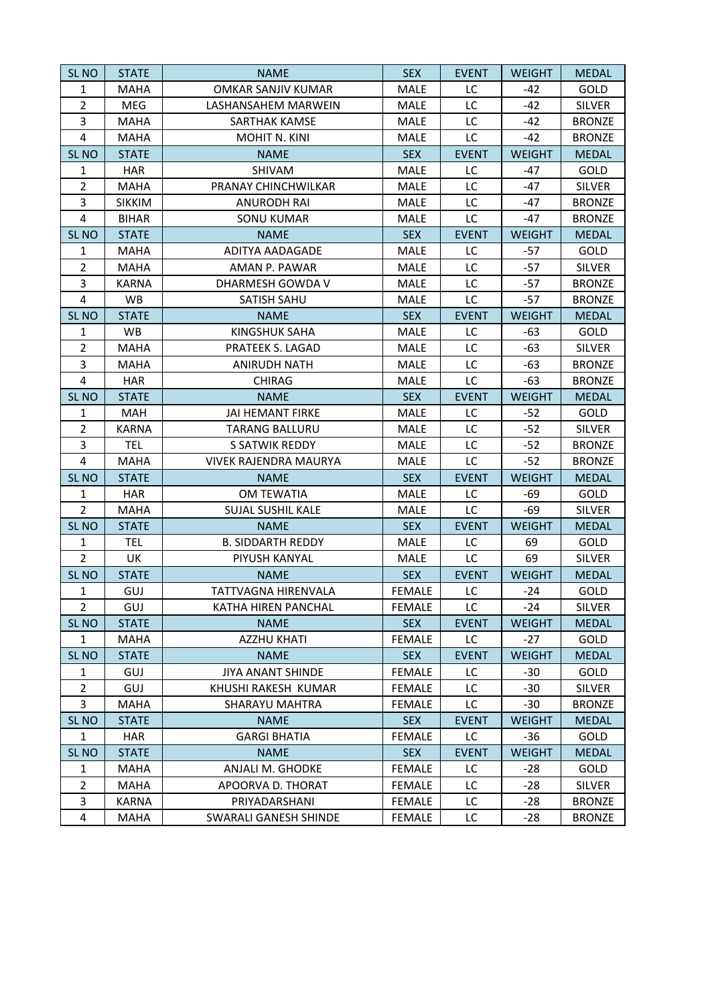| SL <sub>NO</sub> | <b>STATE</b>  | <b>NAME</b>                  | <b>SEX</b>    | <b>EVENT</b> | <b>WEIGHT</b> | <b>MEDAL</b>  |
|------------------|---------------|------------------------------|---------------|--------------|---------------|---------------|
| $\mathbf{1}$     | <b>MAHA</b>   | <b>OMKAR SANJIV KUMAR</b>    | MALE          | LC           | $-42$         | GOLD          |
| $\overline{2}$   | <b>MEG</b>    | LASHANSAHEM MARWEIN          | MALE          | LC           | $-42$         | <b>SILVER</b> |
| 3                | <b>MAHA</b>   | <b>SARTHAK KAMSE</b>         | <b>MALE</b>   | LC           | $-42$         | <b>BRONZE</b> |
| $\overline{4}$   | <b>MAHA</b>   | MOHIT N. KINI                | <b>MALE</b>   | LC           | $-42$         | <b>BRONZE</b> |
| SL <sub>NO</sub> | <b>STATE</b>  | <b>NAME</b>                  | <b>SEX</b>    | <b>EVENT</b> | <b>WEIGHT</b> | <b>MEDAL</b>  |
| $\mathbf{1}$     | <b>HAR</b>    | SHIVAM                       | MALE          | LC           | $-47$         | GOLD          |
| $\overline{2}$   | <b>MAHA</b>   | PRANAY CHINCHWILKAR          | <b>MALE</b>   | LC           | $-47$         | <b>SILVER</b> |
| 3                | <b>SIKKIM</b> | <b>ANURODH RAI</b>           | MALE          | LC           | $-47$         | <b>BRONZE</b> |
| $\overline{4}$   | <b>BIHAR</b>  | <b>SONU KUMAR</b>            | <b>MALE</b>   | LC           | $-47$         | <b>BRONZE</b> |
| SL <sub>NO</sub> | <b>STATE</b>  | <b>NAME</b>                  | <b>SEX</b>    | <b>EVENT</b> | <b>WEIGHT</b> | <b>MEDAL</b>  |
| $\mathbf{1}$     | <b>MAHA</b>   | ADITYA AADAGADE              | <b>MALE</b>   | LC           | $-57$         | GOLD          |
| $\overline{2}$   | <b>MAHA</b>   | AMAN P. PAWAR                | <b>MALE</b>   | LC           | $-57$         | <b>SILVER</b> |
| 3                | <b>KARNA</b>  | DHARMESH GOWDA V             | MALE          | LC           | $-57$         | <b>BRONZE</b> |
| 4                | <b>WB</b>     | SATISH SAHU                  | MALE          | LC           | $-57$         | <b>BRONZE</b> |
| SL <sub>NO</sub> | <b>STATE</b>  | <b>NAME</b>                  | <b>SEX</b>    | <b>EVENT</b> | <b>WEIGHT</b> | <b>MEDAL</b>  |
| $\mathbf{1}$     | <b>WB</b>     | <b>KINGSHUK SAHA</b>         | MALE          | LC           | -63           | GOLD          |
| $\overline{2}$   | <b>MAHA</b>   | PRATEEK S. LAGAD             | MALE          | LC           | $-63$         | <b>SILVER</b> |
| 3                | MAHA          | <b>ANIRUDH NATH</b>          | <b>MALE</b>   | LC           | -63           | <b>BRONZE</b> |
| 4                | <b>HAR</b>    | <b>CHIRAG</b>                | <b>MALE</b>   | LC           | -63           | <b>BRONZE</b> |
| <b>SL NO</b>     | <b>STATE</b>  | <b>NAME</b>                  | <b>SEX</b>    | <b>EVENT</b> | <b>WEIGHT</b> | <b>MEDAL</b>  |
| $\mathbf{1}$     | <b>MAH</b>    | JAI HEMANT FIRKE             | MALE          | LC           | $-52$         | GOLD          |
| $\overline{2}$   | <b>KARNA</b>  | TARANG BALLURU               | <b>MALE</b>   | LC           | $-52$         | <b>SILVER</b> |
| 3                | <b>TEL</b>    | S SATWIK REDDY               | MALE          | LC           | $-52$         | <b>BRONZE</b> |
| $\overline{4}$   | <b>MAHA</b>   | <b>VIVEK RAJENDRA MAURYA</b> | <b>MALE</b>   | LC           | $-52$         | <b>BRONZE</b> |
| SL <sub>NO</sub> | <b>STATE</b>  | <b>NAME</b>                  | <b>SEX</b>    | <b>EVENT</b> | <b>WEIGHT</b> | <b>MEDAL</b>  |
| 1                | <b>HAR</b>    | <b>OM TEWATIA</b>            | <b>MALE</b>   | LC           | -69           | GOLD          |
| $\overline{2}$   | <b>MAHA</b>   | SUJAL SUSHIL KALE            | MALE          | LC           | $-69$         | <b>SILVER</b> |
| SL <sub>NO</sub> | <b>STATE</b>  | <b>NAME</b>                  | <b>SEX</b>    | <b>EVENT</b> | <b>WEIGHT</b> | <b>MEDAL</b>  |
| $\mathbf{1}$     | <b>TEL</b>    | <b>B. SIDDARTH REDDY</b>     | MALE          | LC           | 69            | GOLD          |
| $\overline{2}$   | UK            | PIYUSH KANYAL                | <b>MALE</b>   | LC           | 69            | <b>SILVER</b> |
| SL <sub>NO</sub> | <b>STATE</b>  | <b>NAME</b>                  | <b>SEX</b>    | <b>EVENT</b> | <b>WEIGHT</b> | <b>MEDAL</b>  |
| $\mathbf{1}$     | GUJ           | <b>TATTVAGNA HIRENVALA</b>   | <b>FEMALE</b> | LC           | $-24$         | <b>GOLD</b>   |
| $\overline{2}$   | GUJ           | KATHA HIREN PANCHAL          | <b>FEMALE</b> | LC           | $-24$         | <b>SILVER</b> |
| <b>SL NO</b>     | <b>STATE</b>  | <b>NAME</b>                  | <b>SEX</b>    | <b>EVENT</b> | <b>WEIGHT</b> | <b>MEDAL</b>  |
| $\mathbf{1}$     | MAHA          | <b>AZZHU KHATI</b>           | <b>FEMALE</b> | LC           | $-27$         | GOLD          |
| SL <sub>NO</sub> | <b>STATE</b>  | <b>NAME</b>                  | <b>SEX</b>    | <b>EVENT</b> | <b>WEIGHT</b> | <b>MEDAL</b>  |
| $\mathbf{1}$     | GUJ           | JIYA ANANT SHINDE            | <b>FEMALE</b> | LC           | -30           | <b>GOLD</b>   |
| $\overline{2}$   | GUJ           | KHUSHI RAKESH KUMAR          | <b>FEMALE</b> | LC           | $-30$         | <b>SILVER</b> |
| 3                | <b>MAHA</b>   | <b>SHARAYU MAHTRA</b>        | <b>FEMALE</b> | LC           | -30           | <b>BRONZE</b> |
| SL <sub>NO</sub> | <b>STATE</b>  | <b>NAME</b>                  | <b>SEX</b>    | <b>EVENT</b> | <b>WEIGHT</b> | <b>MEDAL</b>  |
| $\mathbf{1}$     | <b>HAR</b>    | <b>GARGI BHATIA</b>          | <b>FEMALE</b> | LC           | $-36$         | GOLD          |
| <b>SL NO</b>     | <b>STATE</b>  | <b>NAME</b>                  | <b>SEX</b>    | <b>EVENT</b> | <b>WEIGHT</b> | <b>MEDAL</b>  |
| $\mathbf{1}$     | MAHA          | ANJALI M. GHODKE             | <b>FEMALE</b> | LC           | -28           | GOLD          |
| $\overline{2}$   | MAHA          | APOORVA D. THORAT            | <b>FEMALE</b> | LC           | $-28$         | <b>SILVER</b> |
| 3                | KARNA         | PRIYADARSHANI                | <b>FEMALE</b> | LC           | -28           | <b>BRONZE</b> |
| $\overline{4}$   | <b>MAHA</b>   | SWARALI GANESH SHINDE        | <b>FEMALE</b> | LC           | $-28$         | <b>BRONZE</b> |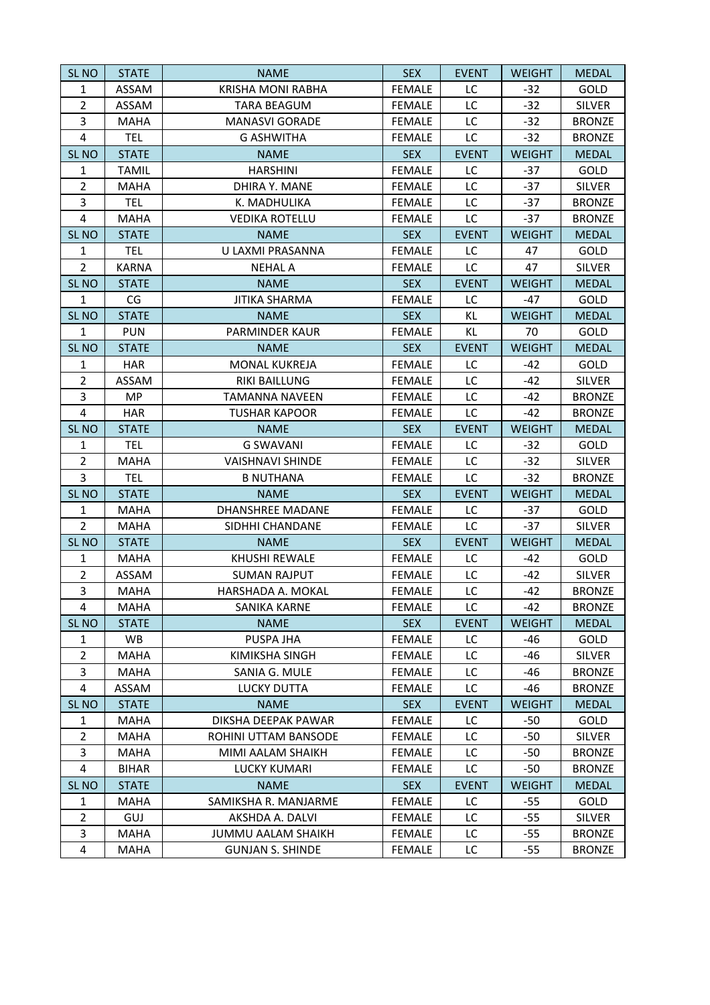| SL <sub>NO</sub>        | <b>STATE</b> | <b>NAME</b>               | <b>SEX</b>    | <b>EVENT</b> | <b>WEIGHT</b> | <b>MEDAL</b>  |
|-------------------------|--------------|---------------------------|---------------|--------------|---------------|---------------|
| 1                       | ASSAM        | <b>KRISHA MONI RABHA</b>  | <b>FEMALE</b> | LC           | $-32$         | GOLD          |
| $\overline{2}$          | ASSAM        | <b>TARA BEAGUM</b>        | <b>FEMALE</b> | LC           | $-32$         | <b>SILVER</b> |
| 3                       | <b>MAHA</b>  | <b>MANASVI GORADE</b>     | <b>FEMALE</b> | LC           | $-32$         | <b>BRONZE</b> |
| 4                       | <b>TEL</b>   | <b>G ASHWITHA</b>         | <b>FEMALE</b> | LC           | $-32$         | <b>BRONZE</b> |
| SL <sub>NO</sub>        | <b>STATE</b> | <b>NAME</b>               | <b>SEX</b>    | <b>EVENT</b> | <b>WEIGHT</b> | <b>MEDAL</b>  |
| $\mathbf{1}$            | <b>TAMIL</b> | <b>HARSHINI</b>           | <b>FEMALE</b> | LC           | $-37$         | GOLD          |
| $\overline{2}$          | <b>MAHA</b>  | DHIRA Y. MANE             | <b>FEMALE</b> | LC           | $-37$         | <b>SILVER</b> |
| 3                       | <b>TEL</b>   | K. MADHULIKA              | <b>FEMALE</b> | LC           | $-37$         | <b>BRONZE</b> |
| 4                       | MAHA         | <b>VEDIKA ROTELLU</b>     | <b>FEMALE</b> | LC           | $-37$         | <b>BRONZE</b> |
| SL <sub>NO</sub>        | <b>STATE</b> | <b>NAME</b>               | <b>SEX</b>    | <b>EVENT</b> | <b>WEIGHT</b> | <b>MEDAL</b>  |
| 1                       | <b>TEL</b>   | U LAXMI PRASANNA          | <b>FEMALE</b> | LC           | 47            | GOLD          |
| $\overline{2}$          | <b>KARNA</b> | <b>NEHAL A</b>            | <b>FEMALE</b> | LC           | 47            | <b>SILVER</b> |
| SL <sub>NO</sub>        | <b>STATE</b> | <b>NAME</b>               | <b>SEX</b>    | <b>EVENT</b> | <b>WEIGHT</b> | <b>MEDAL</b>  |
| $\mathbf{1}$            | CG           | <b>JITIKA SHARMA</b>      | <b>FEMALE</b> | LC           | $-47$         | GOLD          |
| SL <sub>NO</sub>        | <b>STATE</b> | <b>NAME</b>               | <b>SEX</b>    | KL.          | <b>WEIGHT</b> | <b>MEDAL</b>  |
| $\mathbf{1}$            | <b>PUN</b>   | <b>PARMINDER KAUR</b>     | <b>FEMALE</b> | KL           | 70            | GOLD          |
| SL <sub>NO</sub>        | <b>STATE</b> | <b>NAME</b>               | <b>SEX</b>    | <b>EVENT</b> | <b>WEIGHT</b> | <b>MEDAL</b>  |
| $\mathbf{1}$            | <b>HAR</b>   | <b>MONAL KUKREJA</b>      | <b>FEMALE</b> | LC           | -42           | GOLD          |
| $\overline{2}$          | ASSAM        | RIKI BAILLUNG             | <b>FEMALE</b> | LC           | $-42$         | <b>SILVER</b> |
| 3                       | <b>MP</b>    | <b>TAMANNA NAVEEN</b>     | <b>FEMALE</b> | LC           | -42           | <b>BRONZE</b> |
| $\overline{\mathbf{4}}$ | <b>HAR</b>   | <b>TUSHAR KAPOOR</b>      | <b>FEMALE</b> | LC           | $-42$         | <b>BRONZE</b> |
| SL <sub>NO</sub>        | <b>STATE</b> | <b>NAME</b>               | <b>SEX</b>    | <b>EVENT</b> | <b>WEIGHT</b> | <b>MEDAL</b>  |
| $\mathbf{1}$            | <b>TEL</b>   | <b>G SWAVANI</b>          | <b>FEMALE</b> | LC           | $-32$         | GOLD          |
| $\overline{2}$          | <b>MAHA</b>  | <b>VAISHNAVI SHINDE</b>   | <b>FEMALE</b> | LC           | $-32$         | <b>SILVER</b> |
| 3                       | <b>TEL</b>   | <b>B NUTHANA</b>          | <b>FEMALE</b> | LC           | $-32$         | <b>BRONZE</b> |
| SL <sub>NO</sub>        | <b>STATE</b> | <b>NAME</b>               | <b>SEX</b>    | <b>EVENT</b> | <b>WEIGHT</b> | <b>MEDAL</b>  |
| $\mathbf{1}$            | <b>MAHA</b>  | DHANSHREE MADANE          | <b>FEMALE</b> | LC           | $-37$         | GOLD          |
| $\overline{2}$          | <b>MAHA</b>  | SIDHHI CHANDANE           | <b>FEMALE</b> | LC           | $-37$         | <b>SILVER</b> |
| SL <sub>NO</sub>        | <b>STATE</b> | <b>NAME</b>               | <b>SEX</b>    | <b>EVENT</b> | <b>WEIGHT</b> | <b>MEDAL</b>  |
| 1                       | <b>MAHA</b>  | <b>KHUSHI REWALE</b>      | <b>FEMALE</b> | LC           | $-42$         | GOLD          |
| $\overline{2}$          | ASSAM        | <b>SUMAN RAJPUT</b>       | <b>FEMALE</b> | LC           | $-42$         | <b>SILVER</b> |
| 3                       | <b>MAHA</b>  | HARSHADA A. MOKAL         | <b>FEMALE</b> | LC           | $-42$         | <b>BRONZE</b> |
| 4                       | <b>MAHA</b>  | <b>SANIKA KARNE</b>       | <b>FEMALE</b> | LC           | $-42$         | <b>BRONZE</b> |
| SL <sub>NO</sub>        | <b>STATE</b> | <b>NAME</b>               | <b>SEX</b>    | <b>EVENT</b> | <b>WEIGHT</b> | <b>MEDAL</b>  |
| $\mathbf{1}$            | WB           | PUSPA JHA                 | <b>FEMALE</b> | LC           | $-46$         | GOLD          |
| $\overline{2}$          | <b>MAHA</b>  | KIMIKSHA SINGH            | <b>FEMALE</b> | LC           | -46           | <b>SILVER</b> |
| 3                       | <b>MAHA</b>  | SANIA G. MULE             | <b>FEMALE</b> | LC           | -46           | <b>BRONZE</b> |
| 4                       | ASSAM        | LUCKY DUTTA               | <b>FEMALE</b> | LC           | -46           | <b>BRONZE</b> |
| SL <sub>NO</sub>        | <b>STATE</b> | <b>NAME</b>               | <b>SEX</b>    | <b>EVENT</b> | <b>WEIGHT</b> | <b>MEDAL</b>  |
| $\mathbf{1}$            | MAHA         | DIKSHA DEEPAK PAWAR       | <b>FEMALE</b> | LC           | $-50$         | <b>GOLD</b>   |
| $\overline{2}$          | <b>MAHA</b>  | ROHINI UTTAM BANSODE      | <b>FEMALE</b> | LC           | $-50$         | <b>SILVER</b> |
| 3                       | <b>MAHA</b>  | MIMI AALAM SHAIKH         | <b>FEMALE</b> | LC           | $-50$         | <b>BRONZE</b> |
| 4                       | BIHAR        | <b>LUCKY KUMARI</b>       | <b>FEMALE</b> | LC           | -50           | <b>BRONZE</b> |
| SL <sub>NO</sub>        | <b>STATE</b> | <b>NAME</b>               | <b>SEX</b>    | <b>EVENT</b> | <b>WEIGHT</b> | <b>MEDAL</b>  |
| $\mathbf{1}$            | MAHA         | SAMIKSHA R. MANJARME      | <b>FEMALE</b> | LC           | -55           | <b>GOLD</b>   |
| $\overline{2}$          | GUJ          | AKSHDA A. DALVI           | <b>FEMALE</b> | LC           | $-55$         | <b>SILVER</b> |
| 3                       | <b>MAHA</b>  | <b>JUMMU AALAM SHAIKH</b> | <b>FEMALE</b> | LC           | $-55$         | <b>BRONZE</b> |
| 4                       | MAHA         | <b>GUNJAN S. SHINDE</b>   | FEMALE        | LC           | -55           | <b>BRONZE</b> |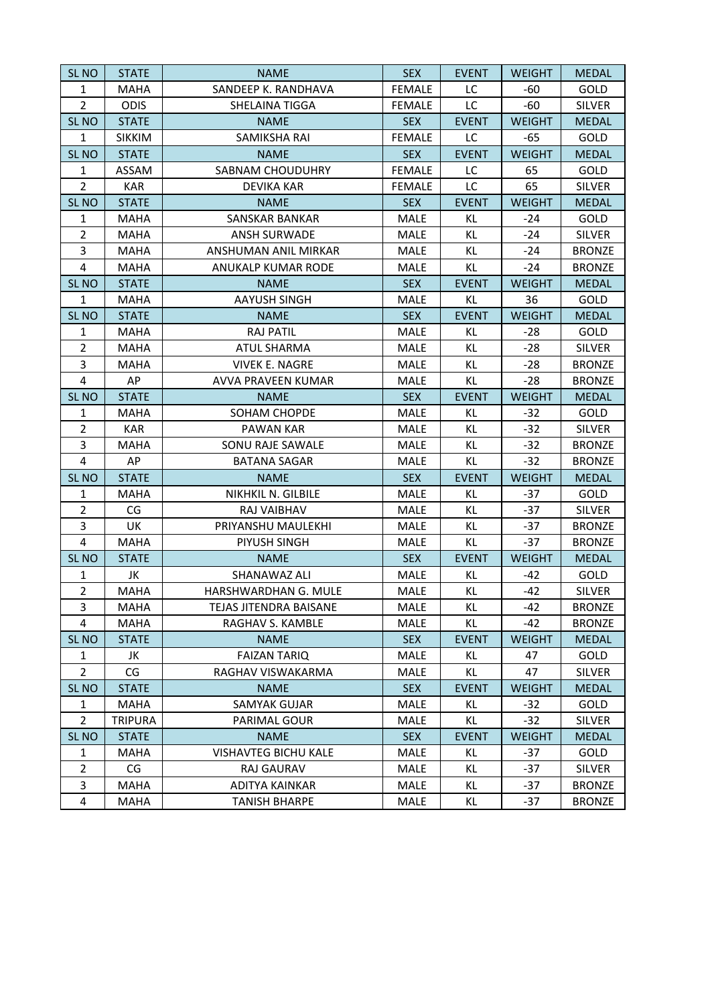| SL <sub>NO</sub> | <b>STATE</b>   | <b>NAME</b>                 | <b>SEX</b>    | <b>EVENT</b> | <b>WEIGHT</b> | <b>MEDAL</b>  |
|------------------|----------------|-----------------------------|---------------|--------------|---------------|---------------|
| $\mathbf{1}$     | <b>MAHA</b>    | SANDEEP K. RANDHAVA         | <b>FEMALE</b> | LC           | -60           | GOLD          |
| $\overline{2}$   | <b>ODIS</b>    | <b>SHELAINA TIGGA</b>       | <b>FEMALE</b> | LC           | $-60$         | <b>SILVER</b> |
| SL <sub>NO</sub> | <b>STATE</b>   | <b>NAME</b>                 | <b>SEX</b>    | <b>EVENT</b> | <b>WEIGHT</b> | <b>MEDAL</b>  |
| $\mathbf{1}$     | <b>SIKKIM</b>  | SAMIKSHA RAI                | <b>FEMALE</b> | LC           | $-65$         | GOLD          |
| SL <sub>NO</sub> | <b>STATE</b>   | <b>NAME</b>                 | <b>SEX</b>    | <b>EVENT</b> | <b>WEIGHT</b> | <b>MEDAL</b>  |
| $\mathbf{1}$     | ASSAM          | SABNAM CHOUDUHRY            | <b>FEMALE</b> | LC           | 65            | GOLD          |
| $\overline{2}$   | <b>KAR</b>     | <b>DEVIKA KAR</b>           | <b>FEMALE</b> | LC           | 65            | <b>SILVER</b> |
| SL <sub>NO</sub> | <b>STATE</b>   | <b>NAME</b>                 | <b>SEX</b>    | <b>EVENT</b> | <b>WEIGHT</b> | <b>MEDAL</b>  |
| $\mathbf{1}$     | MAHA           | <b>SANSKAR BANKAR</b>       | <b>MALE</b>   | KL.          | $-24$         | GOLD          |
| $\overline{2}$   | <b>MAHA</b>    | <b>ANSH SURWADE</b>         | MALE          | KL.          | $-24$         | <b>SILVER</b> |
| 3                | <b>MAHA</b>    | ANSHUMAN ANIL MIRKAR        | <b>MALE</b>   | KL.          | $-24$         | <b>BRONZE</b> |
| $\overline{4}$   | <b>MAHA</b>    | ANUKALP KUMAR RODE          | <b>MALE</b>   | KL           | $-24$         | <b>BRONZE</b> |
| SL <sub>NO</sub> | <b>STATE</b>   | <b>NAME</b>                 | <b>SEX</b>    | <b>EVENT</b> | <b>WEIGHT</b> | <b>MEDAL</b>  |
| 1                | <b>MAHA</b>    | <b>AAYUSH SINGH</b>         | <b>MALE</b>   | KL           | 36            | GOLD          |
| SL <sub>NO</sub> | <b>STATE</b>   | <b>NAME</b>                 | <b>SEX</b>    | <b>EVENT</b> | <b>WEIGHT</b> | <b>MEDAL</b>  |
| $\mathbf{1}$     | <b>MAHA</b>    | <b>RAJ PATIL</b>            | <b>MALE</b>   | KL           | $-28$         | GOLD          |
| $\overline{2}$   | <b>MAHA</b>    | <b>ATUL SHARMA</b>          | <b>MALE</b>   | KL           | $-28$         | <b>SILVER</b> |
| 3                | MAHA           | <b>VIVEK E. NAGRE</b>       | <b>MALE</b>   | KL           | $-28$         | <b>BRONZE</b> |
| 4                | AP             | AVVA PRAVEEN KUMAR          | <b>MALE</b>   | KL           | $-28$         | <b>BRONZE</b> |
| SL <sub>NO</sub> | <b>STATE</b>   | <b>NAME</b>                 | <b>SEX</b>    | <b>EVENT</b> | <b>WEIGHT</b> | <b>MEDAL</b>  |
| $\mathbf{1}$     | MAHA           | SOHAM CHOPDE                | MALE          | KL.          | $-32$         | GOLD          |
| $\overline{2}$   | KAR            | PAWAN KAR                   | <b>MALE</b>   | KL.          | $-32$         | <b>SILVER</b> |
| 3                | <b>MAHA</b>    | SONU RAJE SAWALE            | <b>MALE</b>   | KL.          | $-32$         | <b>BRONZE</b> |
| $\overline{4}$   | AP             | <b>BATANA SAGAR</b>         | <b>MALE</b>   | KL.          | $-32$         | <b>BRONZE</b> |
| SL <sub>NO</sub> | <b>STATE</b>   | <b>NAME</b>                 | <b>SEX</b>    | <b>EVENT</b> | <b>WEIGHT</b> | <b>MEDAL</b>  |
| $\mathbf{1}$     | MAHA           | NIKHKIL N. GILBILE          | <b>MALE</b>   | KL.          | $-37$         | GOLD          |
| $\overline{2}$   | CG             | RAJ VAIBHAV                 | <b>MALE</b>   | KL           | $-37$         | <b>SILVER</b> |
| 3                | UK             | PRIYANSHU MAULEKHI          | <b>MALE</b>   | KL.          | $-37$         | <b>BRONZE</b> |
| $\overline{4}$   | <b>MAHA</b>    | PIYUSH SINGH                | <b>MALE</b>   | KL           | $-37$         | <b>BRONZE</b> |
| SL <sub>NO</sub> | <b>STATE</b>   | <b>NAME</b>                 | <b>SEX</b>    | <b>EVENT</b> | <b>WEIGHT</b> | <b>MEDAL</b>  |
| $\mathbf{1}$     | JK             | SHANAWAZ ALI                | MALE          | KL.          | -42           | GOLD          |
| $\overline{2}$   | <b>MAHA</b>    | HARSHWARDHAN G. MULE        | <b>MALE</b>   | KL.          | $-42$         | <b>SILVER</b> |
| 3                | MAHA           | TEJAS JITENDRA BAISANE      | MALE          | KL           | $-42$         | <b>BRONZE</b> |
| 4                | <b>MAHA</b>    | RAGHAV S. KAMBLE            | <b>MALE</b>   | KL.          | $-42$         | <b>BRONZE</b> |
| <b>SL NO</b>     | <b>STATE</b>   | <b>NAME</b>                 | <b>SEX</b>    | <b>EVENT</b> | <b>WEIGHT</b> | <b>MEDAL</b>  |
| $\mathbf{1}$     | JK             | <b>FAIZAN TARIQ</b>         | MALE          | KL           | 47            | GOLD          |
| $\overline{2}$   | CG             | RAGHAV VISWAKARMA           | MALE          | KL           | 47            | <b>SILVER</b> |
| SL <sub>NO</sub> | <b>STATE</b>   | <b>NAME</b>                 | <b>SEX</b>    | <b>EVENT</b> | <b>WEIGHT</b> | <b>MEDAL</b>  |
| $\mathbf{1}$     | MAHA           | <b>SAMYAK GUJAR</b>         | <b>MALE</b>   | KL           | -32           | GOLD          |
| $\overline{2}$   | <b>TRIPURA</b> | PARIMAL GOUR                | <b>MALE</b>   | KL.          | $-32$         | <b>SILVER</b> |
| SL <sub>NO</sub> | <b>STATE</b>   | <b>NAME</b>                 | <b>SEX</b>    | <b>EVENT</b> | <b>WEIGHT</b> | <b>MEDAL</b>  |
| 1                | <b>MAHA</b>    | <b>VISHAVTEG BICHU KALE</b> | MALE          | KL.          | $-37$         | GOLD          |
| $\overline{2}$   | CG             | RAJ GAURAV                  | MALE          | KL.          | $-37$         | <b>SILVER</b> |
| 3                | <b>MAHA</b>    | ADITYA KAINKAR              | MALE          | KL           | $-37$         | <b>BRONZE</b> |
| 4                | MAHA           | <b>TANISH BHARPE</b>        | MALE          | KL           | -37           | <b>BRONZE</b> |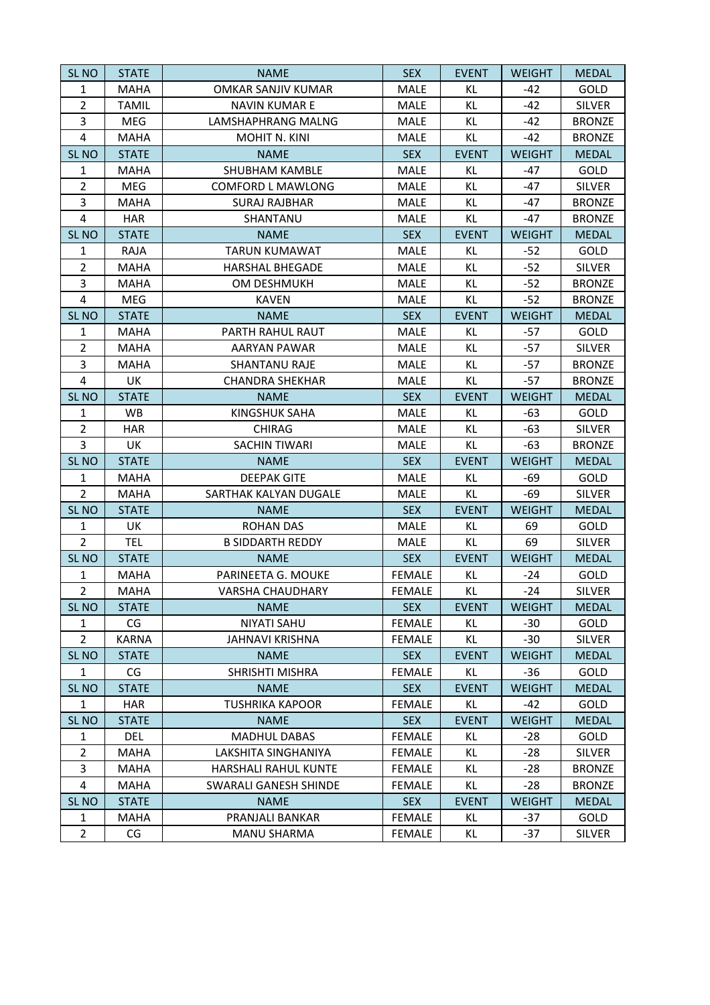| SL <sub>NO</sub> | <b>STATE</b> | <b>NAME</b>               | <b>SEX</b>    | <b>EVENT</b> | <b>WEIGHT</b> | <b>MEDAL</b>  |
|------------------|--------------|---------------------------|---------------|--------------|---------------|---------------|
| $\mathbf{1}$     | <b>MAHA</b>  | <b>OMKAR SANJIV KUMAR</b> | <b>MALE</b>   | KL           | $-42$         | GOLD          |
| $\overline{2}$   | <b>TAMIL</b> | <b>NAVIN KUMAR E</b>      | <b>MALE</b>   | KL           | $-42$         | <b>SILVER</b> |
| 3                | MEG          | LAMSHAPHRANG MALNG        | <b>MALE</b>   | KL.          | $-42$         | <b>BRONZE</b> |
| $\overline{4}$   | <b>MAHA</b>  | <b>MOHIT N. KINI</b>      | MALE          | KL           | $-42$         | <b>BRONZE</b> |
| SL <sub>NO</sub> | <b>STATE</b> | <b>NAME</b>               | <b>SEX</b>    | <b>EVENT</b> | <b>WEIGHT</b> | <b>MEDAL</b>  |
| $\mathbf{1}$     | <b>MAHA</b>  | SHUBHAM KAMBLE            | MALE          | KL.          | $-47$         | GOLD          |
| $\overline{2}$   | MEG          | <b>COMFORD L MAWLONG</b>  | MALE          | KL.          | $-47$         | <b>SILVER</b> |
| 3                | <b>MAHA</b>  | <b>SURAJ RAJBHAR</b>      | MALE          | KL           | $-47$         | <b>BRONZE</b> |
| 4                | <b>HAR</b>   | SHANTANU                  | <b>MALE</b>   | KL.          | $-47$         | <b>BRONZE</b> |
| SL <sub>NO</sub> | <b>STATE</b> | <b>NAME</b>               | <b>SEX</b>    | <b>EVENT</b> | <b>WEIGHT</b> | <b>MEDAL</b>  |
| $\mathbf{1}$     | <b>RAJA</b>  | <b>TARUN KUMAWAT</b>      | <b>MALE</b>   | KL.          | $-52$         | GOLD          |
| $\overline{2}$   | <b>MAHA</b>  | <b>HARSHAL BHEGADE</b>    | MALE          | KL           | $-52$         | <b>SILVER</b> |
| 3                | <b>MAHA</b>  | OM DESHMUKH               | MALE          | KL           | $-52$         | <b>BRONZE</b> |
| 4                | MEG          | <b>KAVEN</b>              | <b>MALE</b>   | KL.          | $-52$         | <b>BRONZE</b> |
| SL <sub>NO</sub> | <b>STATE</b> | <b>NAME</b>               | <b>SEX</b>    | <b>EVENT</b> | <b>WEIGHT</b> | <b>MEDAL</b>  |
| $\mathbf{1}$     | <b>MAHA</b>  | PARTH RAHUL RAUT          | <b>MALE</b>   | KL           | $-57$         | GOLD          |
| $\overline{2}$   | <b>MAHA</b>  | AARYAN PAWAR              | <b>MALE</b>   | KL           | $-57$         | <b>SILVER</b> |
| 3                | <b>MAHA</b>  | <b>SHANTANU RAJE</b>      | <b>MALE</b>   | KL.          | $-57$         | <b>BRONZE</b> |
| $\overline{4}$   | UK           | <b>CHANDRA SHEKHAR</b>    | <b>MALE</b>   | KL           | $-57$         | <b>BRONZE</b> |
| <b>SL NO</b>     | <b>STATE</b> | <b>NAME</b>               | <b>SEX</b>    | <b>EVENT</b> | <b>WEIGHT</b> | <b>MEDAL</b>  |
| $\mathbf{1}$     | <b>WB</b>    | KINGSHUK SAHA             | MALE          | KL.          | -63           | GOLD          |
| $\overline{2}$   | <b>HAR</b>   | <b>CHIRAG</b>             | <b>MALE</b>   | KL.          | -63           | <b>SILVER</b> |
| 3                | UK           | SACHIN TIWARI             | MALE          | KL           | -63           | <b>BRONZE</b> |
| SL <sub>NO</sub> | <b>STATE</b> | <b>NAME</b>               | <b>SEX</b>    | <b>EVENT</b> | <b>WEIGHT</b> | <b>MEDAL</b>  |
| $\mathbf{1}$     | <b>MAHA</b>  | <b>DEEPAK GITE</b>        | MALE          | KL.          | -69           | GOLD          |
| $\overline{2}$   | <b>MAHA</b>  | SARTHAK KALYAN DUGALE     | <b>MALE</b>   | KL           | -69           | <b>SILVER</b> |
| SL <sub>NO</sub> | <b>STATE</b> | <b>NAME</b>               | <b>SEX</b>    | <b>EVENT</b> | <b>WEIGHT</b> | <b>MEDAL</b>  |
| $\mathbf{1}$     | UK           | <b>ROHAN DAS</b>          | MALE          | KL.          | 69            | GOLD          |
| $\overline{2}$   | <b>TEL</b>   | <b>B SIDDARTH REDDY</b>   | MALE          | KL           | 69            | <b>SILVER</b> |
| SL <sub>NO</sub> | <b>STATE</b> | <b>NAME</b>               | <b>SEX</b>    | <b>EVENT</b> | <b>WEIGHT</b> | <b>MEDAL</b>  |
| $\mathbf{1}$     | <b>MAHA</b>  | PARINEETA G. MOUKE        | <b>FEMALE</b> | KL.          | $-24$         | GOLD          |
| $\overline{2}$   | <b>MAHA</b>  | <b>VARSHA CHAUDHARY</b>   | <b>FEMALE</b> | KL.          | $-24$         | <b>SILVER</b> |
| SL <sub>NO</sub> | <b>STATE</b> | <b>NAME</b>               | <b>SEX</b>    | <b>EVENT</b> | <b>WEIGHT</b> | <b>MEDAL</b>  |
| $\mathbf{1}$     | CG           | NIYATI SAHU               | <b>FEMALE</b> | KL           | $-30$         | GOLD          |
| $\overline{2}$   | <b>KARNA</b> | <b>JAHNAVI KRISHNA</b>    | <b>FEMALE</b> | KL           | $-30$         | <b>SILVER</b> |
| SL <sub>NO</sub> | <b>STATE</b> | <b>NAME</b>               | <b>SEX</b>    | <b>EVENT</b> | <b>WEIGHT</b> | <b>MEDAL</b>  |
| $\mathbf{1}$     | CG           | SHRISHTI MISHRA           | <b>FEMALE</b> | KL           | -36           | GOLD          |
| SL <sub>NO</sub> | <b>STATE</b> | <b>NAME</b>               | <b>SEX</b>    | <b>EVENT</b> | <b>WEIGHT</b> | <b>MEDAL</b>  |
| $\mathbf{1}$     | <b>HAR</b>   | <b>TUSHRIKA KAPOOR</b>    | <b>FEMALE</b> | KL.          | $-42$         | <b>GOLD</b>   |
| SL <sub>NO</sub> | <b>STATE</b> | <b>NAME</b>               | <b>SEX</b>    | <b>EVENT</b> | <b>WEIGHT</b> | <b>MEDAL</b>  |
| $\mathbf{1}$     | DEL          | <b>MADHUL DABAS</b>       | <b>FEMALE</b> | KL           | -28           | GOLD          |
| $\overline{2}$   | <b>MAHA</b>  | LAKSHITA SINGHANIYA       | <b>FEMALE</b> | KL.          | $-28$         | <b>SILVER</b> |
| 3                | MAHA         | HARSHALI RAHUL KUNTE      | <b>FEMALE</b> | KL.          | -28           | <b>BRONZE</b> |
| $\overline{4}$   | <b>MAHA</b>  | SWARALI GANESH SHINDE     | <b>FEMALE</b> | KL           | $-28$         | <b>BRONZE</b> |
| SL <sub>NO</sub> | <b>STATE</b> | <b>NAME</b>               | <b>SEX</b>    | <b>EVENT</b> | <b>WEIGHT</b> | <b>MEDAL</b>  |
| 1                | <b>MAHA</b>  | PRANJALI BANKAR           | <b>FEMALE</b> | KL.          | $-37$         | GOLD          |
| $\overline{2}$   | CG           | MANU SHARMA               | <b>FEMALE</b> | KL           | $-37$         | <b>SILVER</b> |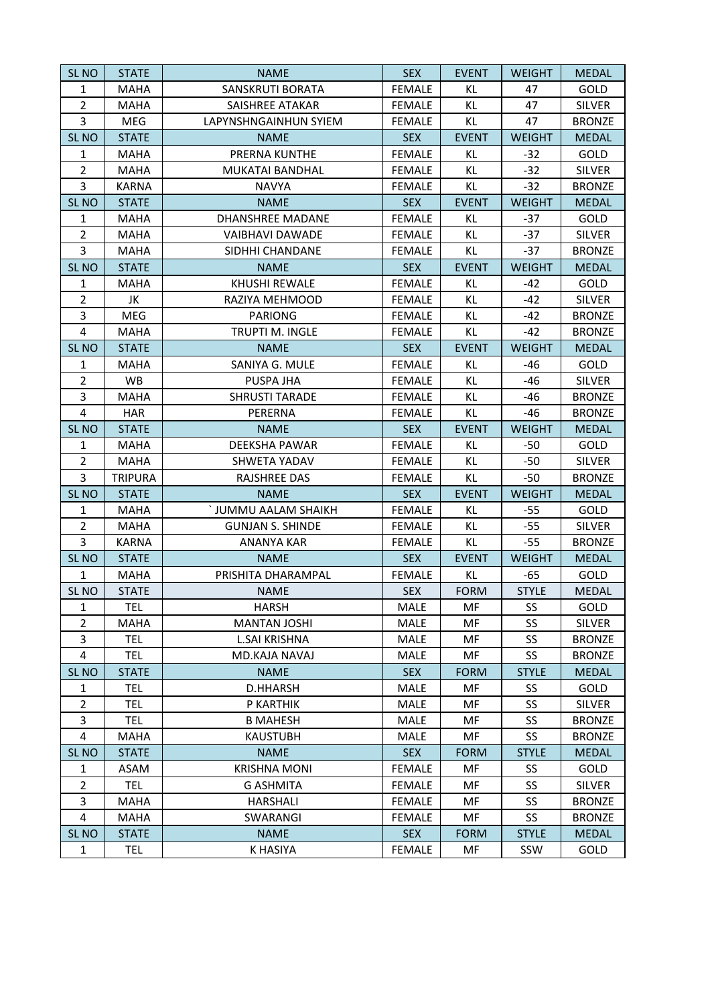| SL <sub>NO</sub>        | <b>STATE</b>   | <b>NAME</b>             | <b>SEX</b>    | <b>EVENT</b> | <b>WEIGHT</b> | <b>MEDAL</b>  |
|-------------------------|----------------|-------------------------|---------------|--------------|---------------|---------------|
| 1                       | <b>MAHA</b>    | SANSKRUTI BORATA        | <b>FEMALE</b> | KL           | 47            | GOLD          |
| $\overline{2}$          | <b>MAHA</b>    | SAISHREE ATAKAR         | <b>FEMALE</b> | KL           | 47            | <b>SILVER</b> |
| 3                       | MEG            | LAPYNSHNGAINHUN SYIEM   | <b>FEMALE</b> | KL           | 47            | <b>BRONZE</b> |
| SL <sub>NO</sub>        | <b>STATE</b>   | <b>NAME</b>             | <b>SEX</b>    | <b>EVENT</b> | <b>WEIGHT</b> | <b>MEDAL</b>  |
| $\mathbf{1}$            | MAHA           | PRERNA KUNTHE           | <b>FEMALE</b> | KL           | $-32$         | GOLD          |
| $\overline{2}$          | <b>MAHA</b>    | MUKATAI BANDHAL         | <b>FEMALE</b> | KL           | $-32$         | <b>SILVER</b> |
| 3                       | <b>KARNA</b>   | <b>NAVYA</b>            | <b>FEMALE</b> | KL           | $-32$         | <b>BRONZE</b> |
| SL <sub>NO</sub>        | <b>STATE</b>   | <b>NAME</b>             | <b>SEX</b>    | <b>EVENT</b> | <b>WEIGHT</b> | <b>MEDAL</b>  |
| $\mathbf{1}$            | <b>MAHA</b>    | DHANSHREE MADANE        | <b>FEMALE</b> | KL.          | $-37$         | GOLD          |
| $\overline{2}$          | <b>MAHA</b>    | <b>VAIBHAVI DAWADE</b>  | <b>FEMALE</b> | KL           | $-37$         | <b>SILVER</b> |
| 3                       | <b>MAHA</b>    | SIDHHI CHANDANE         | <b>FEMALE</b> | KL           | $-37$         | <b>BRONZE</b> |
| SL <sub>NO</sub>        | <b>STATE</b>   | <b>NAME</b>             | <b>SEX</b>    | <b>EVENT</b> | <b>WEIGHT</b> | <b>MEDAL</b>  |
| $\mathbf{1}$            | <b>MAHA</b>    | <b>KHUSHI REWALE</b>    | <b>FEMALE</b> | KL.          | $-42$         | GOLD          |
| $\overline{2}$          | JK             | RAZIYA MEHMOOD          | <b>FEMALE</b> | KL           | $-42$         | <b>SILVER</b> |
| 3                       | MEG            | <b>PARIONG</b>          | <b>FEMALE</b> | KL           | $-42$         | <b>BRONZE</b> |
| $\overline{4}$          | <b>MAHA</b>    | TRUPTI M. INGLE         | <b>FEMALE</b> | <b>KL</b>    | $-42$         | <b>BRONZE</b> |
| SL <sub>NO</sub>        | <b>STATE</b>   | <b>NAME</b>             | <b>SEX</b>    | <b>EVENT</b> | <b>WEIGHT</b> | <b>MEDAL</b>  |
| $\mathbf{1}$            | <b>MAHA</b>    | SANIYA G. MULE          | <b>FEMALE</b> | KL           | -46           | GOLD          |
| $\overline{2}$          | <b>WB</b>      | PUSPA JHA               | <b>FEMALE</b> | KL           | -46           | <b>SILVER</b> |
| 3                       | <b>MAHA</b>    | <b>SHRUSTI TARADE</b>   | <b>FEMALE</b> | KL           | -46           | <b>BRONZE</b> |
| $\overline{\mathbf{4}}$ | <b>HAR</b>     | PERERNA                 | <b>FEMALE</b> | KL           | -46           | <b>BRONZE</b> |
| SL <sub>NO</sub>        | <b>STATE</b>   | <b>NAME</b>             | <b>SEX</b>    | <b>EVENT</b> | <b>WEIGHT</b> | <b>MEDAL</b>  |
| $\mathbf{1}$            | <b>MAHA</b>    | DEEKSHA PAWAR           | <b>FEMALE</b> | KL           | $-50$         | GOLD          |
| $\overline{2}$          | MAHA           | SHWETA YADAV            | <b>FEMALE</b> | KL           | $-50$         | <b>SILVER</b> |
| 3                       | <b>TRIPURA</b> | <b>RAJSHREE DAS</b>     | <b>FEMALE</b> | KL           | $-50$         | <b>BRONZE</b> |
| SL <sub>NO</sub>        | <b>STATE</b>   | <b>NAME</b>             | <b>SEX</b>    | <b>EVENT</b> | <b>WEIGHT</b> | <b>MEDAL</b>  |
| $\mathbf{1}$            | <b>MAHA</b>    | ` JUMMU AALAM SHAIKH    | <b>FEMALE</b> | KL           | $-55$         | GOLD          |
| $\overline{2}$          | <b>MAHA</b>    | <b>GUNJAN S. SHINDE</b> | <b>FEMALE</b> | KL           | $-55$         | <b>SILVER</b> |
| 3                       | <b>KARNA</b>   | <b>ANANYA KAR</b>       | <b>FEMALE</b> | <b>KL</b>    | $-55$         | <b>BRONZE</b> |
| SL <sub>NO</sub>        | <b>STATE</b>   | <b>NAME</b>             | <b>SEX</b>    | <b>EVENT</b> | <b>WEIGHT</b> | <b>MEDAL</b>  |
| $\mathbf{1}$            | <b>MAHA</b>    | PRISHITA DHARAMPAL      | <b>FEMALE</b> | KL.          | -65           | GOLD          |
| SL <sub>NO</sub>        | <b>STATE</b>   | <b>NAME</b>             | <b>SEX</b>    | <b>FORM</b>  | <b>STYLE</b>  | <b>MEDAL</b>  |
| $\mathbf{1}$            | <b>TEL</b>     | <b>HARSH</b>            | MALE          | MF           | SS            | GOLD          |
| $\overline{2}$          | MAHA           | <b>MANTAN JOSHI</b>     | <b>MALE</b>   | MF           | SS            | <b>SILVER</b> |
| 3                       | <b>TEL</b>     | <b>L.SAI KRISHNA</b>    | MALE          | MF           | SS            | <b>BRONZE</b> |
| 4                       | <b>TEL</b>     | MD.KAJA NAVAJ           | <b>MALE</b>   | MF           | SS            | <b>BRONZE</b> |
| SL <sub>NO</sub>        | <b>STATE</b>   | <b>NAME</b>             | <b>SEX</b>    | <b>FORM</b>  | <b>STYLE</b>  | <b>MEDAL</b>  |
| $\mathbf{1}$            | <b>TEL</b>     | <b>D.HHARSH</b>         | <b>MALE</b>   | MF           | SS            | GOLD          |
| $\overline{2}$          | <b>TEL</b>     | P KARTHIK               | MALE          | MF           | SS            | <b>SILVER</b> |
| 3                       | TEL            | <b>B MAHESH</b>         | <b>MALE</b>   | MF           | SS            | <b>BRONZE</b> |
| 4                       | <b>MAHA</b>    | <b>KAUSTUBH</b>         | <b>MALE</b>   | MF           | SS            | <b>BRONZE</b> |
| <b>SL NO</b>            | <b>STATE</b>   | <b>NAME</b>             | <b>SEX</b>    | <b>FORM</b>  | <b>STYLE</b>  | <b>MEDAL</b>  |
| 1                       | ASAM           | <b>KRISHNA MONI</b>     | <b>FEMALE</b> | MF           | SS            | <b>GOLD</b>   |
| $\overline{2}$          | TEL            | <b>G ASHMITA</b>        | <b>FEMALE</b> | MF           | SS            | <b>SILVER</b> |
| 3                       | <b>MAHA</b>    | HARSHALI                | <b>FEMALE</b> | MF           | SS            | <b>BRONZE</b> |
| 4                       | <b>MAHA</b>    | SWARANGI                | <b>FEMALE</b> | MF           | SS            | <b>BRONZE</b> |
| SL <sub>NO</sub>        | <b>STATE</b>   | <b>NAME</b>             | <b>SEX</b>    | <b>FORM</b>  | <b>STYLE</b>  | <b>MEDAL</b>  |
| $\mathbf{1}$            | <b>TEL</b>     | <b>K HASIYA</b>         | <b>FEMALE</b> | MF           | SSW           | GOLD          |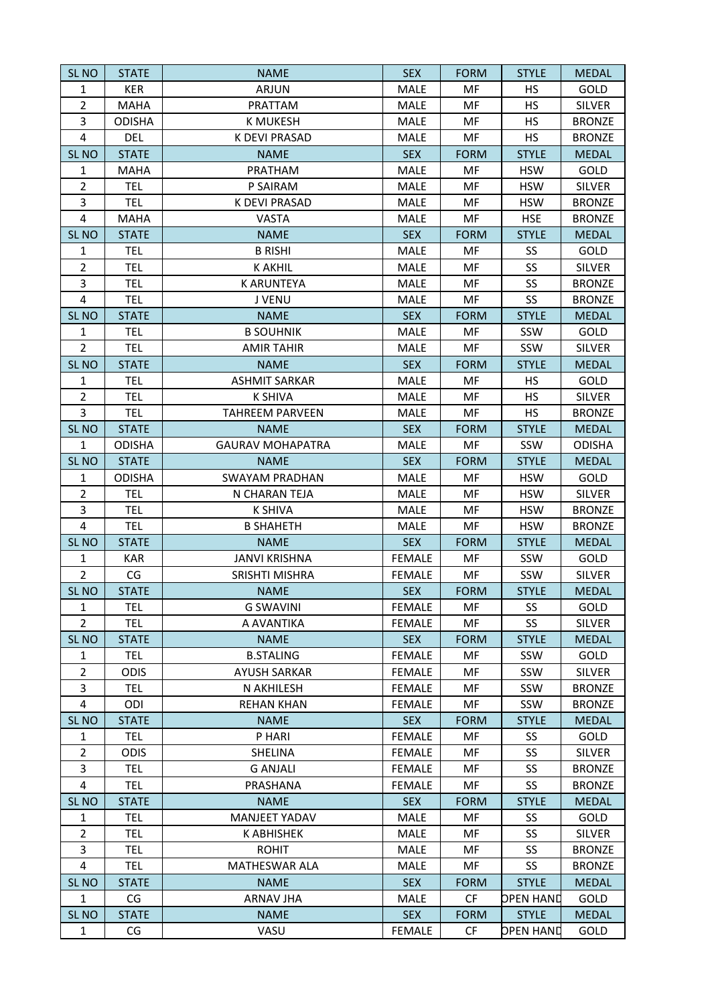| <b>SL NO</b>            | <b>STATE</b>  | <b>NAME</b>             | <b>SEX</b>    | <b>FORM</b> | <b>STYLE</b>     | <b>MEDAL</b>  |
|-------------------------|---------------|-------------------------|---------------|-------------|------------------|---------------|
| $\mathbf{1}$            | <b>KER</b>    | ARJUN                   | <b>MALE</b>   | MF          | <b>HS</b>        | GOLD          |
| $\overline{2}$          | <b>MAHA</b>   | PRATTAM                 | <b>MALE</b>   | MF          | <b>HS</b>        | <b>SILVER</b> |
| 3                       | <b>ODISHA</b> | K MUKESH                | <b>MALE</b>   | MF          | <b>HS</b>        | <b>BRONZE</b> |
| $\overline{\mathbf{4}}$ | <b>DEL</b>    | <b>K DEVI PRASAD</b>    | MALE          | MF          | <b>HS</b>        | <b>BRONZE</b> |
| SL <sub>NO</sub>        | <b>STATE</b>  | <b>NAME</b>             | <b>SEX</b>    | <b>FORM</b> | <b>STYLE</b>     | <b>MEDAL</b>  |
| $\mathbf{1}$            | <b>MAHA</b>   | PRATHAM                 | MALE          | MF          | <b>HSW</b>       | GOLD          |
| $\overline{2}$          | <b>TEL</b>    | P SAIRAM                | <b>MALE</b>   | MF          | <b>HSW</b>       | <b>SILVER</b> |
| 3                       | <b>TEL</b>    | K DEVI PRASAD           | MALE          | MF          | <b>HSW</b>       | <b>BRONZE</b> |
| $\overline{4}$          | MAHA          | <b>VASTA</b>            | <b>MALE</b>   | MF          | <b>HSE</b>       | <b>BRONZE</b> |
| SL <sub>NO</sub>        | <b>STATE</b>  | <b>NAME</b>             | <b>SEX</b>    | <b>FORM</b> | <b>STYLE</b>     | <b>MEDAL</b>  |
| 1                       | <b>TEL</b>    | <b>B RISHI</b>          | MALE          | MF          | SS               | GOLD          |
| $\overline{2}$          | <b>TEL</b>    | <b>K AKHIL</b>          | MALE          | MF          | SS               | <b>SILVER</b> |
| 3                       | TEL           | <b>K ARUNTEYA</b>       | <b>MALE</b>   | MF          | SS               | <b>BRONZE</b> |
| $\overline{4}$          | <b>TEL</b>    | J VENU                  | <b>MALE</b>   | MF          | SS               | <b>BRONZE</b> |
| SL <sub>NO</sub>        | <b>STATE</b>  | <b>NAME</b>             | <b>SEX</b>    | <b>FORM</b> | <b>STYLE</b>     | <b>MEDAL</b>  |
| $\mathbf{1}$            | <b>TEL</b>    | <b>B SOUHNIK</b>        | MALE          | MF          | SSW              | GOLD          |
| $\overline{2}$          | <b>TEL</b>    | <b>AMIR TAHIR</b>       | MALE          | MF          | SSW              | <b>SILVER</b> |
| SL <sub>NO</sub>        | <b>STATE</b>  | <b>NAME</b>             | <b>SEX</b>    | <b>FORM</b> | <b>STYLE</b>     | <b>MEDAL</b>  |
| $\mathbf{1}$            | <b>TEL</b>    | <b>ASHMIT SARKAR</b>    | MALE          | MF          | <b>HS</b>        | GOLD          |
| $\overline{2}$          | <b>TEL</b>    | <b>K SHIVA</b>          | MALE          | MF          | <b>HS</b>        | <b>SILVER</b> |
| 3                       | <b>TEL</b>    | <b>TAHREEM PARVEEN</b>  | MALE          | MF          | <b>HS</b>        | <b>BRONZE</b> |
| SL <sub>NO</sub>        | <b>STATE</b>  | <b>NAME</b>             | <b>SEX</b>    | <b>FORM</b> | <b>STYLE</b>     | <b>MEDAL</b>  |
| $\mathbf{1}$            | <b>ODISHA</b> | <b>GAURAV MOHAPATRA</b> | MALE          | MF          | SSW              | <b>ODISHA</b> |
| SL <sub>NO</sub>        | <b>STATE</b>  | <b>NAME</b>             | <b>SEX</b>    | <b>FORM</b> | <b>STYLE</b>     | <b>MEDAL</b>  |
| $\mathbf{1}$            | <b>ODISHA</b> | <b>SWAYAM PRADHAN</b>   | MALE          | MF          | <b>HSW</b>       | GOLD          |
| $\overline{2}$          | <b>TEL</b>    | N CHARAN TEJA           | MALE          | MF          | <b>HSW</b>       | <b>SILVER</b> |
| 3                       | <b>TEL</b>    | <b>K SHIVA</b>          | MALE          | MF          | <b>HSW</b>       | <b>BRONZE</b> |
| $\overline{4}$          | <b>TEL</b>    | <b>B SHAHETH</b>        | MALE          | MF          | <b>HSW</b>       | <b>BRONZE</b> |
| SL <sub>NO</sub>        | <b>STATE</b>  | <b>NAME</b>             | <b>SEX</b>    | <b>FORM</b> | <b>STYLE</b>     | <b>MEDAL</b>  |
| 1                       | KAR           | <b>JANVI KRISHNA</b>    | <b>FEMALE</b> | MF          | SSW              | GOLD          |
| $\overline{2}$          | CG            | <b>SRISHTI MISHRA</b>   | <b>FEMALE</b> | MF          | SSW              | <b>SILVER</b> |
| <b>SL NO</b>            | <b>STATE</b>  | <b>NAME</b>             | <b>SEX</b>    | <b>FORM</b> | <b>STYLE</b>     | <b>MEDAL</b>  |
| 1                       | <b>TEL</b>    | <b>G SWAVINI</b>        | <b>FEMALE</b> | MF          | SS               | GOLD          |
| $\overline{2}$          | <b>TEL</b>    | A AVANTIKA              | <b>FEMALE</b> | MF          | SS               | <b>SILVER</b> |
| SL <sub>NO</sub>        | <b>STATE</b>  | <b>NAME</b>             | <b>SEX</b>    | <b>FORM</b> | <b>STYLE</b>     | <b>MEDAL</b>  |
| 1                       | <b>TEL</b>    | <b>B.STALING</b>        | <b>FEMALE</b> | MF          | SSW              | GOLD          |
| $\overline{2}$          | <b>ODIS</b>   | <b>AYUSH SARKAR</b>     | <b>FEMALE</b> | MF          | SSW              | <b>SILVER</b> |
| 3                       | <b>TEL</b>    | N AKHILESH              | <b>FEMALE</b> | MF          | SSW              | <b>BRONZE</b> |
| 4                       | ODI           | <b>REHAN KHAN</b>       | <b>FEMALE</b> | MF          | SSW              | <b>BRONZE</b> |
| SL <sub>NO</sub>        | <b>STATE</b>  | <b>NAME</b>             | <b>SEX</b>    | <b>FORM</b> | <b>STYLE</b>     | <b>MEDAL</b>  |
| 1                       | <b>TEL</b>    | P HARI                  | <b>FEMALE</b> | MF          | SS               | GOLD          |
| $\overline{2}$          | <b>ODIS</b>   | SHELINA                 | <b>FEMALE</b> | MF          | SS               | <b>SILVER</b> |
| 3                       | <b>TEL</b>    | <b>G ANJALI</b>         | <b>FEMALE</b> | MF          | SS               | <b>BRONZE</b> |
| $\overline{4}$          | TEL           | PRASHANA                | <b>FEMALE</b> | MF          | SS               | <b>BRONZE</b> |
| SL <sub>NO</sub>        | <b>STATE</b>  | <b>NAME</b>             | <b>SEX</b>    | <b>FORM</b> | <b>STYLE</b>     | <b>MEDAL</b>  |
| 1                       | <b>TEL</b>    | MANJEET YADAV           | MALE          | MF          | SS               | GOLD          |
| $\overline{2}$          | <b>TEL</b>    | <b>K ABHISHEK</b>       | MALE          | MF          | SS               | <b>SILVER</b> |
| 3                       | <b>TEL</b>    | <b>ROHIT</b>            | MALE          | MF          | SS               | <b>BRONZE</b> |
| 4                       | <b>TEL</b>    | <b>MATHESWAR ALA</b>    | MALE          | MF          | SS               | <b>BRONZE</b> |
| SL <sub>NO</sub>        | <b>STATE</b>  | <b>NAME</b>             | <b>SEX</b>    | <b>FORM</b> | <b>STYLE</b>     | <b>MEDAL</b>  |
| $\mathbf{1}$            | CG            | <b>ARNAV JHA</b>        | MALE          | <b>CF</b>   | <b>OPEN HAND</b> | GOLD          |
| SL <sub>NO</sub>        | <b>STATE</b>  | <b>NAME</b>             | <b>SEX</b>    | <b>FORM</b> | <b>STYLE</b>     | <b>MEDAL</b>  |
| $\mathbf{1}$            | CG            | VASU                    | <b>FEMALE</b> | CF          | <b>DPEN HAND</b> | GOLD          |